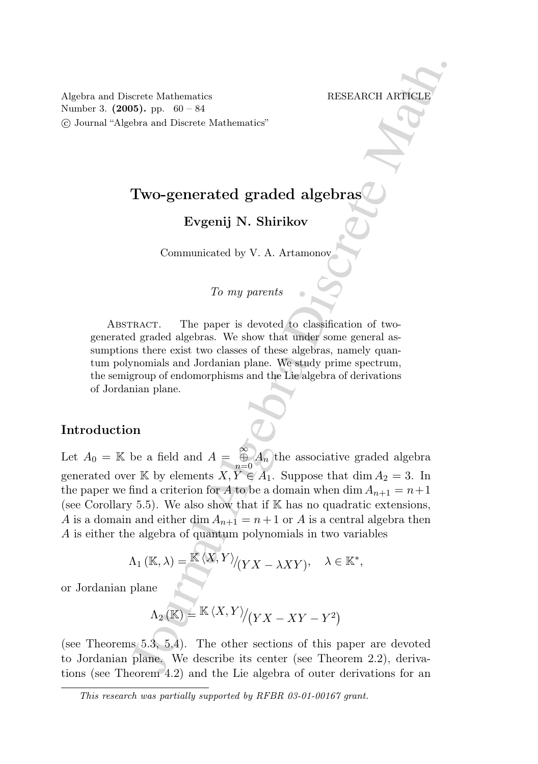Algebra and Discrete Mathematics RESEARCH ARTICLE Number 3. (2005). pp. 60 – 84 c Journal "Algebra and Discrete Mathematics"

# Two-generated graded algebras

Evgenij N. Shirikov

Communicated by V. A. Artamonov

# $To my parents$

ABSTRACT. The paper is devoted to classification of twogenerated graded algebras. We show that under some general assumptions there exist two classes of these algebras, namely quantum polynomials and Jordanian plane. We study prime spectrum, the semigroup of endomorphisms and the Lie algebra of derivations of Jordanian plane.

# Introduction

Figure 1.1 The same of the same of the same of the same of the same of the same of the same of the same of the same of the same of the same of the same of the same of the same of the same of the same of the same of the sa Let  $A_0 = \mathbb{K}$  be a field and  $A = \bigoplus_{n=0}^{\infty} A_n$  the associative graded algebra generated over K by elements  $X, Y \in A_1$ . Suppose that  $\dim A_2 = 3$ . In the paper we find a criterion for A to be a domain when dim  $A_{n+1} = n+1$ (see Corollary 5.5). We also show that if  $K$  has no quadratic extensions, A is a domain and either dim  $A_{n+1} = n+1$  or A is a central algebra then A is either the algebra of quantum polynomials in two variables

$$
\Lambda_1 (\mathbb{K}, \lambda) = \frac{\mathbb{K} \langle X, Y \rangle}{\langle YX - \lambda XY \rangle}, \quad \lambda \in \mathbb{K}^*,
$$

or Jordanian plane

$$
\Lambda_2\left(\mathbb{K}\right)=\mathbb{K}\left\langle X,Y\right\rangle\!\bigl(\!\left\langle YX-XY-Y^2\right\rangle\!\bigl)
$$

(see Theorems 5.3, 5.4). The other sections of this paper are devoted to Jordanian plane. We describe its center (see Theorem 2.2), derivations (see Theorem 4.2) and the Lie algebra of outer derivations for an

This research was partially supported by RFBR 03-01-00167 grant.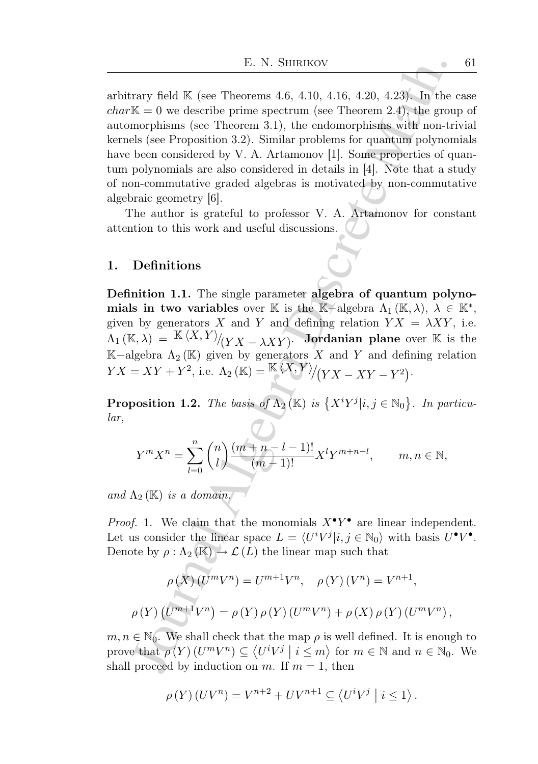E. N. SHIRIKOV<br>
IE. N. SHIRIKOV<br>
IK. SUR (see Theorems 4.6, 4.10, 4.16, 4.20, 4.23). In the like grow describe prime genetrum (see Theorem 2.4), the group<br>
morphisms (see Theorem 3.1), the endomorphisms with non-tri-<br>
els arbitrary field  $\mathbb K$  (see Theorems 4.6, 4.10, 4.16, 4.20, 4.23). In the case  $char\mathbb{K} = 0$  we describe prime spectrum (see Theorem 2.4), the group of automorphisms (see Theorem 3.1), the endomorphisms with non-trivial kernels (see Proposition 3.2). Similar problems for quantum polynomials have been considered by V. A. Artamonov [1]. Some properties of quantum polynomials are also considered in details in [4]. Note that a study of non-commutative graded algebras is motivated by non-commutative algebraic geometry [6].

The author is grateful to professor V. A. Artamonov for constant attention to this work and useful discussions.

### 1. Definitions

Definition 1.1. The single parameter algebra of quantum polynomials in two variables over K is the K-algebra  $\Lambda_1(\mathbb{K}, \lambda)$ ,  $\lambda \in \mathbb{K}^*$ , given by generators X and Y and defining relation  $Y X = \lambda XY$ , i.e.  $\Lambda_1\left(\mathbb{K},\lambda\right)\,=\, \frac{\mathbb{K}\left\langle X,Y\right\rangle}{\left\langle YX-\lambda XY\right\rangle}.$  Jordanian plane over  $\mathbb{K}\,$  is the K−algebra  $Λ_2$ (K) given by generators X and Y and defining relation  $YX=XY+Y^2$ , i.e.  $\Lambda_2(\mathbb{K})=\frac{\mathbb{K}\langle X,Y\rangle}{\langle YX-XY-Y^2\rangle}.$ 

**Proposition 1.2.** The basis of  $\Lambda_2(\mathbb{K})$  is  $\{X^iY^j|i,j\in\mathbb{N}_0\}$ . In particular,

$$
Y^{m}X^{n} = \sum_{l=0}^{n} {n \choose l} \frac{(m+n-l-1)!}{(m-1)!} X^{l}Y^{m+n-l}, \qquad m, n \in \mathbb{N},
$$

and  $\Lambda_2$  (K) is a domain.

*Proof.* 1. We claim that the monomials  $X^{\bullet}Y^{\bullet}$  are linear independent. Let us consider the linear space  $L = \langle U^i V^j | i, j \in \mathbb{N}_0 \rangle$  with basis  $U^{\bullet}V^{\bullet}$ . Denote by  $\rho : \Lambda_2(\mathbb{K}) \to \mathcal{L}(L)$  the linear map such that

$$
\rho(X) (U^{m}V^{n}) = U^{m+1}V^{n}, \quad \rho(Y) (V^{n}) = V^{n+1},
$$
  

$$
\rho(Y) (U^{m+1}V^{n}) = \rho(Y) \rho(Y) (U^{m}V^{n}) + \rho(X) \rho(Y) (U^{m}V^{n}),
$$

 $m, n \in \mathbb{N}_0$ . We shall check that the map  $\rho$  is well defined. It is enough to prove that  $\rho(Y)$   $(U^m V^n) \subseteq \langle U^i V^j | i \leq m \rangle$  for  $m \in \mathbb{N}$  and  $n \in \mathbb{N}_0$ . We shall proceed by induction on m. If  $m = 1$ , then

$$
\rho(Y)(UV^{n}) = V^{n+2} + UV^{n+1} \subseteq \langle U^{i}V^{j} | i \leq 1 \rangle.
$$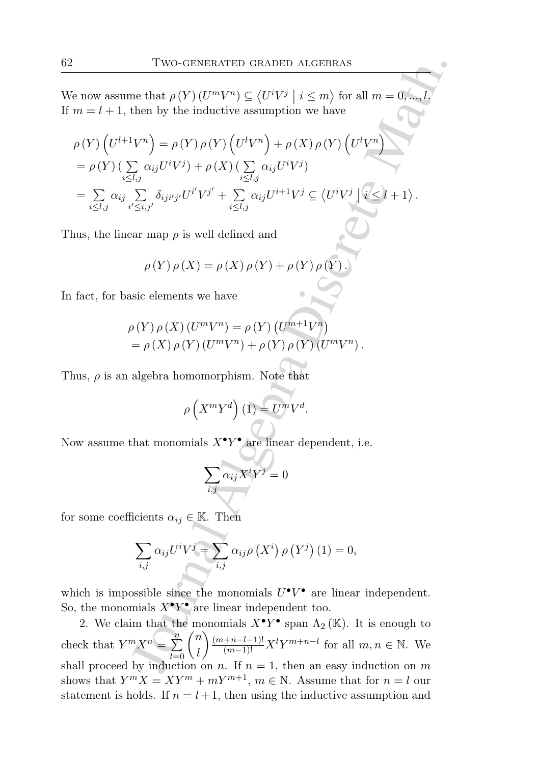We now assume that  $\rho(Y)(U^mV^n) \subseteq \langle U^iV^j \mid i \leq m \rangle$  for all  $m = 0, ..., l$ . If  $m = l + 1$ , then by the inductive assumption we have

Two-GENERALED GRADED ALGEBRAS  
\ne now assume that 
$$
\rho(Y) (U^m V^n) \subseteq \langle U^i V^j | i \leq m \rangle
$$
 for all  $m = 0, ..., l$ ;  
\n $m = l + 1$ , then by the inductive assumption we have  
\n $\rho(Y) (U^{l+1}V^n) = \rho(Y) \rho(Y) (U^l V^n) + \rho(X) \rho(Y) (U^l V^n)$   
\n $= \rho(Y) (\sum_{i \leq l, j} \alpha_{ij} U^i V^j) + \rho(X) (\sum_{i \leq l, j} \alpha_{ij} U^i V^j)$   
\n $= \sum_{i \leq l, j} \alpha_{ij} \sum_{i' \leq i, j'} \delta_{ij'j'} U^{i'} V^{j'} + \sum_{i \leq l, j} \alpha_{ij} U^{i+1} V^j \subseteq \langle U^i V^j | i \leq l + 1 \rangle$ .  
\nthus, the linear map  $\rho$  is well defined and  
\n $\rho(Y) \rho(X) = \rho(X) \rho(Y) + \rho(Y) \rho(Y)$ .  
\nfact, for basic elements we have  
\n $\rho(Y) \rho(X) (U^m V^n) = \rho(Y) (U^{m+1}V^n)$   
\n $= \rho(X) \rho(Y) (U^m V^n) + \rho(Y) \rho(Y) (U^m V^n)$ .  
\nthus,  $\rho$  is an algebra homomorphism. Note that  
\n $\rho\left(X^m Y^d\right)(1) = U^m V^d$ .  
\n  
\naw assume that monomials  $X^*Y^*$  are linear dependent, i.e.  
\n $\sum_{i,j} \alpha_{ij} X^i Y^j = 0$   
\n: some coefficients  $\alpha_{ij} \in \mathbb{K}$ . Then  
\n $\sum_{i,j} \alpha_{ij} U^i V^j = \sum_{i,j} \alpha_{ij} \rho(X^i) \rho(Y^j) (1) = 0$ ,  
\nwhich is impossible since the monomials  $U^*V^*$  are linear independent,  
\n, the monomials  $X^*Y^*$  span  $\Lambda_2(\mathbb{K})$ . It is enough to  
\neck that  $Y^m X^n = \sum_{i=0}^n {n \choose i} \frac{(m_{n-1}-1)!}{(m-1)!} X^l Y^{m+n-l}$  for all  $m, n \in$ 

.

Thus, the linear map  $\rho$  is well defined and

$$
\rho(Y) \rho(X) = \rho(X) \rho(Y) + \rho(Y) \rho(Y).
$$

In fact, for basic elements we have

$$
\rho(Y)\rho(X)(U^mV^n) = \rho(Y)(U^{m+1}V^n)
$$
  
=  $\rho(X)\rho(Y)(U^mV^n) + \rho(Y)\rho(Y)(U^mV^n)$ .

Thus,  $\rho$  is an algebra homomorphism. Note that

$$
\rho\left(X^m Y^d\right)(1) = U^m V^d.
$$

Now assume that monomials  $X^{\bullet}Y^{\bullet}$  are linear dependent, i.e.

$$
\sum_{i,j}\alpha_{ij}X^iY^j=0
$$

for some coefficients  $\alpha_{ij} \in \mathbb{K}$ . Then

$$
\sum_{i,j} \alpha_{ij} U^i V^j = \sum_{i,j} \alpha_{ij} \rho\left(X^i\right) \rho\left(Y^j\right) (1) = 0,
$$

which is impossible since the monomials  $U^{\bullet}V^{\bullet}$  are linear independent. So, the monomials  $X^{\bullet}Y^{\bullet}$  are linear independent too.

2. We claim that the monomials  $X^{\bullet}Y^{\bullet}$  span  $\Lambda_2(\mathbb{K})$ . It is enough to check that  $Y^m X^n = \sum_{l=0}^n \binom{n}{l}$ l  $\left(\frac{(m+n-l-1)!}{(m-1)!}X^{l}Y^{m+n-l} \right)$  for all  $m, n \in \mathbb{N}$ . We shall proceed by induction on n. If  $n = 1$ , then an easy induction on m shows that  $Y^m X = XY^m + mY^{m+1}$ ,  $m \in N$ . Assume that for  $n = l$  our statement is holds. If  $n = l + 1$ , then using the inductive assumption and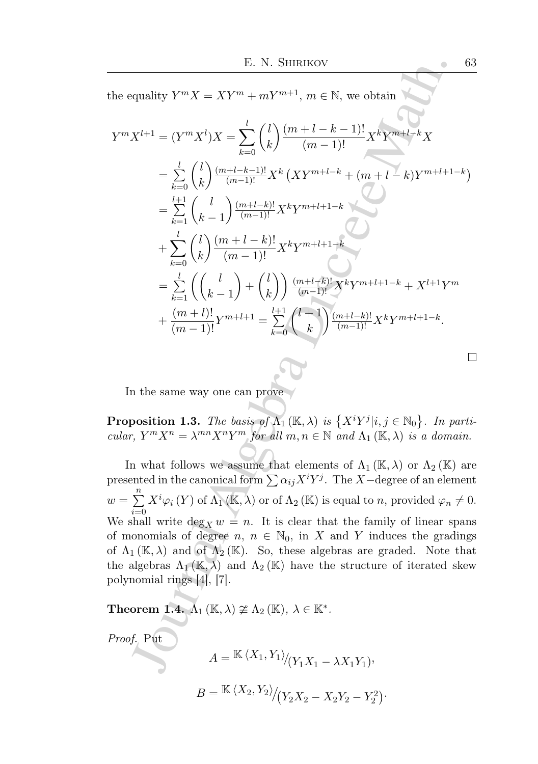the equality  $Y^m X = XY^m + mY^{m+1}$ ,  $m \in \mathbb{N}$ , we obtain

E. N. SHIRIKOV 63  
\nthe equality 
$$
Y^m X = XY^m + mY^{m+1}
$$
,  $m \in \mathbb{N}$ , we obtain  
\n
$$
Y^m X^{l+1} = (Y^m X^l) X = \sum_{k=0}^l {l \choose k} \frac{(m+l-k-1)!}{(m-1)!} X^k Y^{m+l-k} X
$$
\n
$$
= \sum_{k=0}^l {l \choose k} \frac{(m+l-k-1)!}{(m-1)!} X^k (XY^{m+l-k} + (m+l-k)Y^{m+l+1-k})
$$
\n
$$
= \sum_{k=0}^{l+1} {l \choose k-1} \frac{(m+l-k)!}{(m-1)!} X^k Y^{m+l+1-k}
$$
\n
$$
+ \sum_{k=0}^l {l \choose k} \frac{(m+l-k)!}{(m-1)!} X^k Y^{m+l+1-k}
$$
\n
$$
= \sum_{k=1}^l {l \choose k-1} + {l \choose k} \frac{(m+l-k)!}{(m-1)!} X^k Y^{m+l+1-k} + X^{l+1} Y^m
$$
\n
$$
+ \frac{(m+l)!}{(m-1)!} Y^{m+l+1} = \sum_{k=0}^{l+1} {l \choose k} \frac{(m+l-k)!}{(m-1)!} X^k Y^{m+l+1-k}.
$$
\nIn the same way one can prove  
\nProposition 1.3. The basis of  $\Lambda_1$  (K,  $\lambda$ ) is { $X^i Y^j | i, j \in \mathbb{N}_0$ }. In particular,  $Y^m X^n = \lambda^{mn} X^n Y^m$  for all  $m, n \in \mathbb{N}$  and  $\Lambda_1$  (K,  $\lambda$ ) or  $\Lambda_2$  (K) are  
\npresented in the canonical form  $\sum \alpha_{ij} X^i Y^j$ . The *X*-degree of an element  
\n $v = \sum_{i=0}^n X^i \varphi_i(Y)$  of  $\Lambda_1$  (K,  $\lambda$ ) or of  $\Lambda_2$  (K) is equal to *n*, provided  $\varphi_n \neq 0$ .  
\nWe shall write  $\deg_X w = n$ . It is clear that the family of linear spans  
\n*f* monomials of degree *n*,  $n \in \mathbb{N}_$ 

In the same way one can prove

**Proposition 1.3.** The basis of  $\Lambda_1(\mathbb{K}, \lambda)$  is  $\{X^iY^j|i, j \in \mathbb{N}_0\}$ . In particular,  $Y^m X^n = \lambda^{mn} X^n Y^m$  for all  $m, n \in \mathbb{N}$  and  $\Lambda_1 (\mathbb{K}, \lambda)$  is a domain.

In what follows we assume that elements of  $\Lambda_1 (\mathbb{K}, \lambda)$  or  $\Lambda_2 (\mathbb{K})$  are presented in the canonical form  $\sum \alpha_{ij}X^iY^j$ . The X−degree of an element  $w = \sum_{n=1}^{n}$  $i=0$  $X^{i}\varphi_{i}(Y)$  of  $\Lambda_{1}(\mathbb{K},\lambda)$  or of  $\Lambda_{2}(\mathbb{K})$  is equal to n, provided  $\varphi_{n}\neq 0$ . We shall write  $\deg_X w = n$ . It is clear that the family of linear spans of monomials of degree  $n, n \in \mathbb{N}_0$ , in X and Y induces the gradings of  $\Lambda_1 (\mathbb{K}, \lambda)$  and of  $\Lambda_2 (\mathbb{K})$ . So, these algebras are graded. Note that the algebras  $\Lambda_1(\mathbb{K}, \lambda)$  and  $\Lambda_2(\mathbb{K})$  have the structure of iterated skew polynomial rings [4], [7].

**Theorem 1.4.**  $\Lambda_1(\mathbb{K}, \lambda) \ncong \Lambda_2(\mathbb{K}), \lambda \in \mathbb{K}^*$ .

*Proof.* Put  
\n
$$
A = \frac{\mathbb{K} \langle X_1, Y_1 \rangle}{\langle Y_1 X_1 - \lambda X_1 Y_1 \rangle},
$$
\n
$$
B = \frac{\mathbb{K} \langle X_2, Y_2 \rangle}{\langle Y_2 X_2 - X_2 Y_2 - Y_2^2 \rangle}.
$$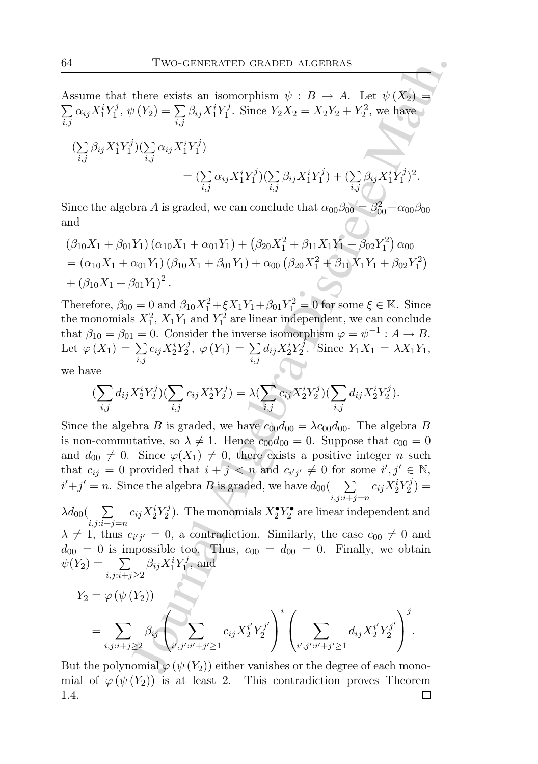$\sum$ Assume that there exists an isomorphism  $\psi : B \to A$ . Let  $\psi(X_2) =$  $_{i,j}$  $\alpha_{ij}X_1^iY_1^j$  $Y_1^{\jmath}, \psi(Y_2) = \sum_{i=1}^n$  $_{i,j}$  $\beta_{ij}X_1^iY_1^j$ <sup>7</sup>/<sub>1</sub>. Since  $Y_2X_2 = X_2Y_2 + Y_2^2$ , we have

$$
\begin{split} (\sum_{i,j} \beta_{ij} X_1^i Y_1^j)(\sum_{i,j} \alpha_{ij} X_1^i Y_1^j) \\ &= (\sum_{i,j} \alpha_{ij} X_1^i Y_1^j)(\sum_{i,j} \beta_{ij} X_1^i Y_1^j) + (\sum_{i,j} \beta_{ij} X_1^i Y_1^j)^2. \end{split}
$$

Since the algebra A is graded, we can conclude that  $\alpha_{00}\beta_{00} = \beta_{00}^2 + \alpha_{00}\beta_{00}$ and

$$
(\beta_{10}X_1 + \beta_{01}Y_1) (\alpha_{10}X_1 + \alpha_{01}Y_1) + (\beta_{20}X_1^2 + \beta_{11}X_1Y_1 + \beta_{02}Y_1^2) \alpha_{00}
$$
  
=  $(\alpha_{10}X_1 + \alpha_{01}Y_1) (\beta_{10}X_1 + \beta_{01}Y_1) + \alpha_{00} (\beta_{20}X_1^2 + \beta_{11}X_1Y_1 + \beta_{02}Y_1^2)$   
+  $(\beta_{10}X_1 + \beta_{01}Y_1)^2$ .

Therefore,  $\beta_{00} = 0$  and  $\beta_{10} X_1^2 + \xi X_1 Y_1 + \beta_{01} Y_1^2 = 0$  for some  $\xi \in \mathbb{K}$ . Since the monomials  $X_1^2$ ,  $X_1Y_1$  and  $Y_1^2$  are linear independent, we can conclude that  $\beta_{10} = \beta_{01} = 0$ . Consider the inverse isomorphism  $\varphi = \psi^{-1} : A \to B$ . Let  $\varphi(X_1) = \sum$  $_{i,j}$  $c_{ij}X_2^iY_2^j$  $Y_2^j, \varphi(Y_1) = \sum_i$  $_{i,j}$  $d_{ij}X_2^iY_2^j$  $Y_2^j$ . Since  $Y_1X_1 = \lambda X_1Y_1$ , we have

$$
(\sum_{i,j} d_{ij} X_2^i Y_2^j)(\sum_{i,j} c_{ij} X_2^i Y_2^j) = \lambda (\sum_{i,j} c_{ij} X_2^i Y_2^j)(\sum_{i,j} d_{ij} X_2^i Y_2^j).
$$

Two-centra-tren crane<br>
there exists an isomorphism  $\psi : B \to A$ . Let  $\psi(X_2) = \int_{\gamma} \beta_{ij} X_1^i Y_1^j$ . Since  $Y_2 X_2 = X_2 Y_2 + Y_2^2$ , we have<br>  $\psi(Y_2) = \sum_{i,j} \beta_{ij} X_1^i Y_1^j$ . Since  $Y_2 X_2 = X_2 Y_2 + Y_2^2$ , we have<br>  $\psi(Y_2) = \sum_{i,j} \$ Since the algebra B is graded, we have  $c_{00}d_{00} = \lambda c_{00}d_{00}$ . The algebra B is non-commutative, so  $\lambda \neq 1$ . Hence  $c_{00}d_{00} = 0$ . Suppose that  $c_{00} = 0$ and  $d_{00} \neq 0$ . Since  $\varphi(X_1) \neq 0$ , there exists a positive integer n such that  $c_{ij} = 0$  provided that  $i + j < n$  and  $c_{i'j'} \neq 0$  for some  $i', j' \in \mathbb{N}$ ,  $i'+j' = n$ . Since the algebra B is graded, we have  $d_{00}(\sum_{i=1}^{n} a_i)^2$  $i,j:i+j=n$  $c_{ij}X_2^iY_2^j$  $\binom{7}{2}$  =

 $\lambda d_{00}(\quad \sum$  $i,j:i+j=n$  $c_{ij}X_2^iY_2^j$  $(X_2^{\bullet})$ . The monomials  $X_2^{\bullet} Y_2^{\bullet}$  are linear independent and  $\lambda \neq 1$ , thus  $c_{i'j'} = 0$ , a contradiction. Similarly, the case  $c_{00} \neq 0$  and  $d_{00} = 0$  is impossible too. Thus,  $c_{00} = d_{00} = 0$ . Finally, we obtain  $\psi(Y_2) = \sum$  $i,j:i+j\geq 2$  $\beta_{ij}X_1^iY_1^j$  $i<sub>1</sub>$ , and

$$
Y_2 = \varphi(\psi(Y_2))
$$
  
=  $\sum_{i,j:i+j\geq 2} \beta_{ij} \left( \sum_{i',j':i'+j'\geq 1} c_{ij} X_2^{i'} Y_2^{j'} \right)^i \left( \sum_{i',j':i'+j'\geq 1} d_{ij} X_2^{i'} Y_2^{j'} \right)^j$ .

But the polynomial  $\varphi(\psi(Y_2))$  either vanishes or the degree of each monomial of  $\varphi(\psi(Y_2))$  is at least 2. This contradiction proves Theorem 1.4. $\Box$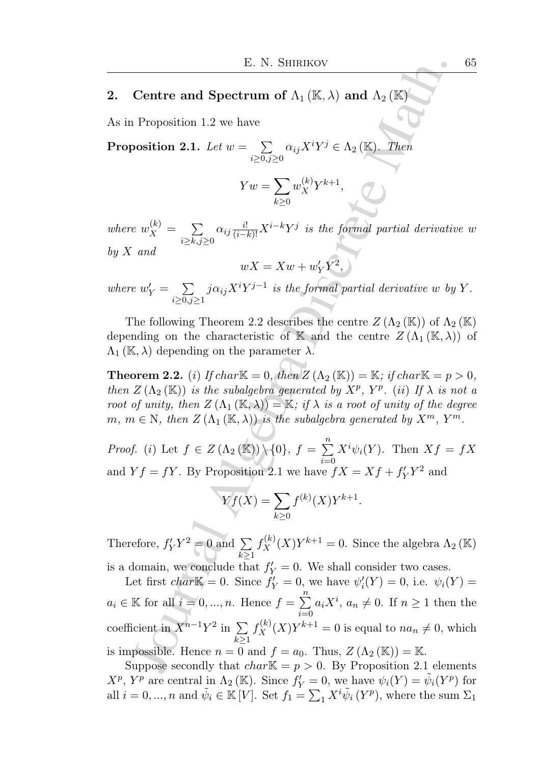### 2. Centre and Spectrum of  $\Lambda_1(\mathbb{K},\lambda)$  and  $\Lambda_2(\mathbb{K})$

As in Proposition 1.2 we have

Proposition 2.1. Let  $w = \sum$  $i \geq 0, j \geq 0$  $\alpha_{ij}X^iY^j \in \Lambda_2 (\mathbb{K})$ . Then

$$
Yw = \sum_{k\geq 0} w_X^{(k)} Y^{k+1},
$$

where  $w_X^{(k)} = \sum$  $i \geq k, j \geq 0$  $\alpha_{ij} \frac{i!}{(i-k)!} X^{i-k} Y^j$  is the formal partial derivative w by  $X$  and

$$
wX = Xw + w'_Y Y^2,
$$

where  $w'_Y = \sum$  $i \geq 0, j \geq 1$  $j\alpha_{ij}X^{i}Y^{j-1}$  is the formal partial derivative w by Y.

The following Theorem 2.2 describes the centre  $Z(\Lambda_2 (\mathbb{K}))$  of  $\Lambda_2 (\mathbb{K})$ depending on the characteristic of K and the centre  $Z(\Lambda_1(K,\lambda))$  of  $\Lambda_1(\mathbb{K},\lambda)$  depending on the parameter  $\lambda$ .

**Theorem 2.2.** (i) If char  $\mathbb{K} = 0$ , then  $Z(\Lambda_2(\mathbb{K})) = \mathbb{K}$ ; if char  $\mathbb{K} = p > 0$ , then  $Z(\Lambda_2(K))$  is the subalgebra generated by  $X^p$ ,  $Y^p$ . (ii) If  $\lambda$  is not a root of unity, then  $Z(\Lambda_1 (\mathbb{K}, \lambda)) = \mathbb{K}$ ; if  $\lambda$  is a root of unity of the degree  $m, m \in \mathbb{N}$ , then  $Z(\Lambda_1(\mathbb{K},\lambda))$  is the subalgebra generated by  $X^m$ ,  $Y^m$ .

*Proof.* (*i*) Let  $f \in Z(\Lambda_2(\mathbb{K})) \setminus \{0\}, f = \sum_{i=1}^n$  $i=0$  $X^i\psi_i(Y)$ . Then  $Xf = fX$ and  $Yf = fY$ . By Proposition 2.1 we have  $fX = Xf + f'_{Y}Y^{2}$  and

$$
Yf(X) = \sum_{k \ge 0} f^{(k)}(X) Y^{k+1}.
$$

Therefore,  $f'_Y Y^2 = 0$  and  $\Sigma$  $k\geq 1$  $f_X^{(k)}(X)Y^{k+1} = 0$ . Since the algebra  $\Lambda_2(\mathbb{K})$ 

E. N. SHIRIKOV<br>
Centre and Spectrum of  $\Lambda_1 (\mathbb{K}, \lambda)$  and  $\Lambda_2 (\mathbb{K})$ <br>
1 Proposition 1.2 we have<br>
position 2.1. Let  $w = \sum_{i \geq 0, j \geq 0} \alpha_{ij} X^i Y^j \in \Lambda_2 (\mathbb{K})$ . There<br>  $Vw = \sum_{i \geq k, j \geq 0} \alpha_{ij} \frac{w_i}{(1-k)!} X^{i-k} Y^j$  is t is a domain, we conclude that  $f'_Y = 0$ . We shall consider two cases. Let first  $char\mathbb{K}=0$ . Since  $\tilde{f}'_Y=0$ , we have  $\psi'_i(Y)=0$ , i.e.  $\psi_i(Y)=0$  $a_i \in \mathbb{K}$  for all  $i = 0, ..., n$ . Hence  $f = \sum_{i=1}^{n} a_i X^i$ ,  $a_n \neq 0$ . If  $n \geq 1$  then the  $i=0$ coefficient in  $X^{n-1}Y^2$  in  $\sum$  $k\geq 1$  $f_X^{(k)}(X)Y^{k+1} = 0$  is equal to  $na_n \neq 0$ , which is impossible. Hence  $n = 0$  and  $f = a_0$ . Thus,  $Z(\Lambda_2(K)) = K$ .

Suppose secondly that  $char\mathbb{K} = p > 0$ . By Proposition 2.1 elements  $X^p$ ,  $Y^p$  are central in  $\Lambda_2(\mathbb{K})$ . Since  $f'_Y = 0$ , we have  $\psi_i(Y) = \tilde{\psi}_i(Y^p)$  for all  $i = 0, ..., n$  and  $\tilde{\psi}_i \in \mathbb{K}[V]$ . Set  $f_1 = \sum_1 X^i \tilde{\psi}_i (Y^p)$ , where the sum  $\Sigma_1$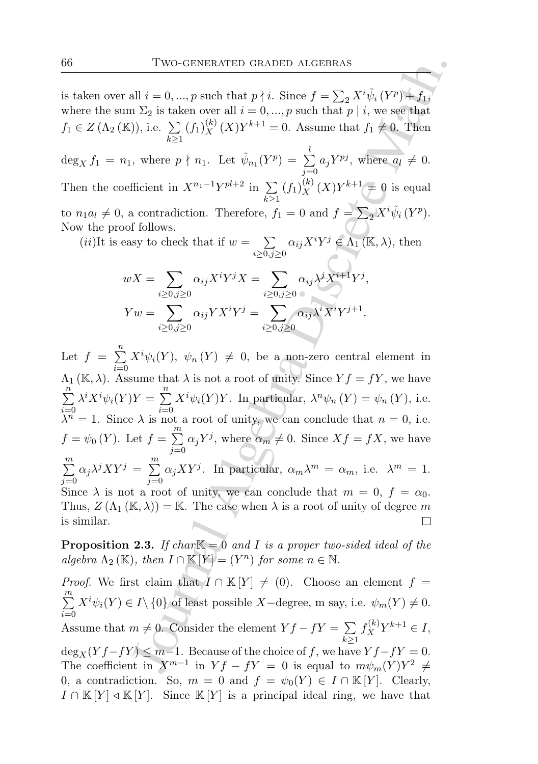is taken over all  $i = 0, ..., p$  such that  $p \nmid i$ . Since  $f = \sum_{i=2} X^i \tilde{\psi}_i (Y^p) + f_1$ , where the sum  $\Sigma_2$  is taken over all  $i = 0, ..., p$  such that  $p | i$ , we see that  $f_1 \in Z(\Lambda_2 (\mathbb{K}))$ , i.e.  $\sum$  $k\geq 1$  $(f_1)_X^{(k)}(X)Y^{k+1} = 0.$  Assume that  $f_1 \neq 0.$  Then

 $\deg_X f_1 = n_1$ , where  $p \nmid n_1$ . Let  $\tilde{\psi}_{n_1}(Y^p) = \sum$ l  $j=0$  $a_j Y^{pj}$ , where  $a_l \neq 0$ . Then the coefficient in  $X^{n_1-1}Y^{pl+2}$  in  $\sum$  $k \geq 1$  $(f_1)_X^{(k)}(X)Y^{k+1} \neq 0$  is equal to  $n_1 a_l \neq 0$ , a contradiction. Therefore,  $f_1 = 0$  and  $f = \sum_2 X^i \tilde{\psi}_i (Y^p)$ . Now the proof follows.

 $(ii)$ It is easy to check that if  $w = \sum$  $i \geq 0, j \geq 0$  $\alpha_{ij}X^iY^j\in\Lambda_1(\mathbb{K},\lambda)$ , then

$$
wX = \sum_{i \ge 0, j \ge 0} \alpha_{ij} X^i Y^j X = \sum_{i \ge 0, j \ge 0} \alpha_{ij} \lambda^j X^{i+1} Y^j,
$$
  
\n
$$
Yw = \sum_{i \ge 0, j \ge 0} \alpha_{ij} Y X^i Y^j = \sum_{i \ge 0, j \ge 0} \alpha_{ij} \lambda^i X^i Y^{j+1}.
$$

Two-GENERATED GRADED ALGEBRAS<br>
all  $i = 0, ..., p$  such that  $p \nmid i$ . Since  $f = \sum_2 X^i \tilde{\psi}_i(Y^p) + f_1$ ,<br>  $n \Sigma_2$  is taken over all  $i = 0, ..., p$  such that  $p \nmid i$ , we see that<br>  $n \sum_2 (f_1) \frac{f_1}{X}(X)Y^{k+1} = 0$ . Assume that  $f_1 \neq$ Let  $f = \sum_{i=1}^{n} X^{i} \psi_i(Y), \psi_n(Y) \neq 0$ , be a non-zero central element in  $i=0$  $\Lambda_1(\mathbb{K}, \lambda)$ . Assume that  $\lambda$  is not a root of unity. Since  $Yf = fY$ , we have  $\sum_{n=1}^{\infty}$  $i=0$  $\lambda^i X^i \psi_i(Y) Y = \sum^n$  $i=0$  $X^{i}\psi_{i}(Y)Y$ . In particular,  $\lambda^{n}\psi_{n}(Y) = \psi_{n}(Y)$ , i.e.  $\lambda^n = 1$ . Since  $\lambda$  is not a root of unity, we can conclude that  $n = 0$ , i.e.  $f = \psi_0(Y)$ . Let  $f = \sum^{m}$  $j=0$  $\alpha_j Y^j$ , where  $\alpha_m \neq 0$ . Since  $Xf = fX$ , we have  $\sum_{i=1}^{m}$  $j=0$  $\alpha_j \lambda^j XY^j = \sum^m$  $j=0$  $\alpha_j XY^j$ . In particular,  $\alpha_m \lambda^m = \alpha_m$ , i.e.  $\lambda^m = 1$ . Since  $\lambda$  is not a root of unity, we can conclude that  $m = 0, f = \alpha_0$ . Thus,  $Z(\Lambda_1 (\mathbb{K}, \lambda)) = \mathbb{K}$ . The case when  $\lambda$  is a root of unity of degree m is similar.

**Proposition 2.3.** If char  $K = 0$  and I is a proper two-sided ideal of the algebra  $\Lambda_2(\mathbb{K})$ , then  $I \cap \mathbb{K}[Y] = (Y^n)$  for some  $n \in \mathbb{N}$ .

*Proof.* We first claim that  $I \cap \mathbb{K}[Y] \neq (0)$ . Choose an element  $f =$  $\sum_{i=1}^{m}$  $i=0$  $X^{i}\psi_{i}(Y) \in I\setminus\{0\}$  of least possible X-degree, m say, i.e.  $\psi_{m}(Y) \neq 0$ . Assume that  $m \neq 0$ . Consider the element  $Y f - fY = \sum$  $k\geq 1$  $f_X^{(k)} Y^{k+1} \in I,$  $\deg_X(Yf-fY) \leq m-1$ . Because of the choice of f, we have  $Yf-fY = 0$ . The coefficient in  $X^{m-1}$  in  $Yf - fY = 0$  is equal to  $m\psi_m(Y)Y^2 \neq 0$ 0, a contradiction. So,  $m = 0$  and  $f = \psi_0(Y) \in I \cap \mathbb{K}[Y]$ . Clearly,  $I \cap \mathbb{K}[Y] \triangleleft \mathbb{K}[Y]$ . Since  $\mathbb{K}[Y]$  is a principal ideal ring, we have that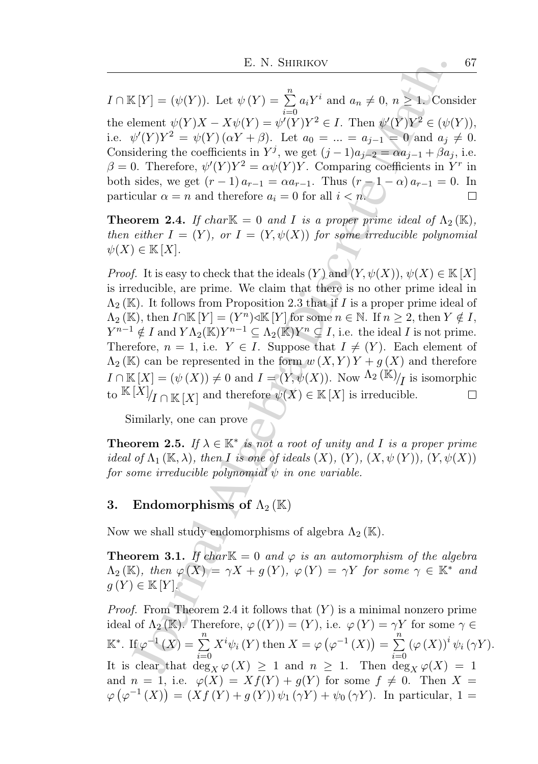$I \cap \mathbb{K}[Y] = (\psi(Y)).$  Let  $\psi(Y) = \sum_{n=1}^{\infty}$  $a_i Y^i$  and  $a_n \neq 0, n \geq 1$ . Consider  $i=0$ the element  $\psi(Y)X - X\psi(Y) = \psi'(Y)Y^2 \in I$ . Then  $\psi'(Y)Y^2 \in (\psi(Y)),$ i.e.  $\psi'(Y)Y^2 = \psi(Y)(\alpha Y + \beta)$ . Let  $a_0 = ... = a_{j-1} = 0$  and  $a_j \neq 0$ . Considering the coefficients in  $Y^j$ , we get  $(j-1)a_{j-2} = \alpha a_{j-1} + \beta a_j$ , i.e.  $\beta = 0$ . Therefore,  $\psi'(Y)Y^2 = \alpha \psi(Y)Y$ . Comparing coefficients in Y<sup>r</sup> in both sides, we get  $(r-1) a_{r-1} = \alpha a_{r-1}$ . Thus  $(r-1-\alpha) a_{r-1} = 0$ . In particular  $\alpha = n$  and therefore  $a_i = 0$  for all  $i < n$ . П

**Theorem 2.4.** If char  $\mathbb{K} = 0$  and I is a proper prime ideal of  $\Lambda_2(\mathbb{K})$ , then either  $I = (Y)$ , or  $I = (Y, \psi(X))$  for some irreducible polynomial  $\psi(X) \in K[X].$ 

E. N. SHIRIKOV<br>
E. N. SHIRIKOV<br>  $K[Y] = (\psi(Y))$ . Let  $\psi(Y) = \sum_{i=0}^{n} a_i Y^i$  and  $a_n \neq 0, n \geq 1$ . Conselement  $\psi(Y)X - X\psi(Y) = \psi(Y)Y^3 \in I$ . Then  $\psi'(Y)Y^2 \in \psi'(Y)Y^2 \in \psi'(Y)Y^2 \in \psi'(Y)Y^2 \in \psi'(Y)Y^2 \in \psi'(Y)Y^2 \in \psi'(Y)Y^2 \in \psi'(Y)Y^2 \in \psi'(Y$ *Proof.* It is easy to check that the ideals  $(Y)$  and  $(Y, \psi(X)), \psi(X) \in \mathbb{K}[X]$ is irreducible, are prime. We claim that there is no other prime ideal in  $\Lambda_2(\mathbb{K})$ . It follows from Proposition 2.3 that if I is a proper prime ideal of  $\Lambda_2(\mathbb{K})$ , then  $I \cap \mathbb{K}[Y] = (Y^n) \triangleleft \mathbb{K}[Y]$  for some  $n \in \mathbb{N}$ . If  $n \geq 2$ , then  $Y \notin I$ ,  $Y^{n-1} \notin I$  and  $Y\Lambda_2(\mathbb{K})Y^{n-1} \subseteq \Lambda_2(\mathbb{K})Y^n \subseteq I$ , i.e. the ideal I is not prime. Therefore,  $n = 1$ , i.e.  $Y \in I$ . Suppose that  $I \neq (Y)$ . Each element of  $\Lambda_2(\mathbb{K})$  can be represented in the form  $w(X, Y)Y + q(X)$  and therefore  $I \cap \mathbb{K}[X] = (\psi(X)) \neq 0$  and  $I = (Y, \psi(X))$ . Now  $\Lambda_2(\mathbb{K})/I$  is isomorphic to  $\mathbb{K}[X]$ <sub>I</sub>  $\cap$   $\mathbb{K}[X]$  and therefore  $\psi(X) \in \mathbb{K}[X]$  is irreducible.  $\Box$ 

Similarly, one can prove

**Theorem 2.5.** If  $\lambda \in \mathbb{K}^*$  is not a root of unity and I is a proper prime ideal of  $\Lambda_1 (\mathbb{K}, \lambda)$ , then I is one of ideals  $(X)$ ,  $(Y)$ ,  $(X, \psi(Y))$ ,  $(Y, \psi(X))$ for some irreducible polynomial  $\psi$  in one variable.

# 3. Endomorphisms of  $\Lambda_2(\mathbb{K})$

Now we shall study endomorphisms of algebra  $\Lambda_2(\mathbb{K})$ .

**Theorem 3.1.** If char  $K = 0$  and  $\varphi$  is an automorphism of the algebra  $\Lambda_2(\mathbb{K})$ , then  $\varphi(X) = \gamma X + g(Y)$ ,  $\varphi(Y) = \gamma Y$  for some  $\gamma \in \mathbb{K}^*$  and  $g(Y) \in K[Y]$ .

*Proof.* From Theorem 2.4 it follows that  $(Y)$  is a minimal nonzero prime ideal of  $\Lambda_2(\mathbb{K})$ . Therefore,  $\varphi((Y)) = (Y)$ , i.e.  $\varphi(Y) = \gamma Y$  for some  $\gamma \in$  $\mathbb{K}^*$ . If  $\varphi^{-1}(X) = \sum_{n=1}^{\infty}$  $i=0$  $X^{i}\psi_{i}(Y)$  then  $X = \varphi(\varphi^{-1}(X)) = \sum^{n}$  $i=0$  $(\varphi(X))^{i} \psi_{i}(\gamma Y).$ It is clear that  $\deg_X \varphi(X) \geq 1$  and  $n \geq 1$ . Then  $\deg_X \varphi(X) = 1$ and  $n = 1$ , i.e.  $\varphi(X) = Xf(Y) + g(Y)$  for some  $f \neq 0$ . Then  $X =$  $\varphi(\varphi^{-1}(X)) = (Xf(Y) + g(Y)) \psi_1(\gamma Y) + \psi_0(\gamma Y)$ . In particular, 1 =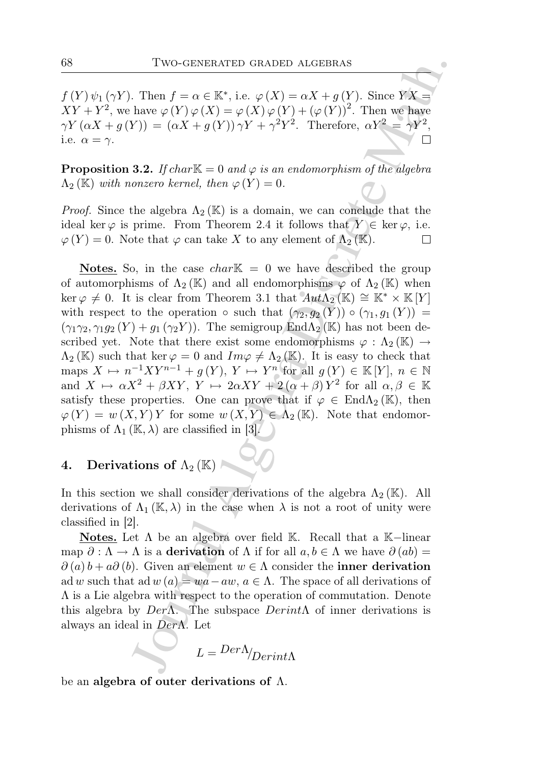$f(Y)\psi_1(\gamma Y)$ . Then  $f = \alpha \in \mathbb{K}^*$ , i.e.  $\varphi(X) = \alpha X + g(Y)$ . Since  $\overline{Y}X =$  $XY+Y^2$ , we have  $\varphi(Y)\varphi(X)=\varphi(X)\varphi(Y)+(\varphi(Y))^2$ . Then we have  $\gamma Y(\alpha X + g(Y)) = (\alpha X + g(Y)) \gamma Y + \gamma^2 Y^2$ . Therefore,  $\alpha Y^2 = \gamma Y^2$ , i.e.  $\alpha = \gamma$ .

**Proposition 3.2.** If char  $K = 0$  and  $\varphi$  is an endomorphism of the algebra  $\Lambda_2(\mathbb{K})$  with nonzero kernel, then  $\varphi(Y) = 0$ .

*Proof.* Since the algebra  $\Lambda_2(\mathbb{K})$  is a domain, we can conclude that the ideal ker  $\varphi$  is prime. From Theorem 2.4 it follows that  $Y \in \text{ker } \varphi$ , i.e.  $\varphi(Y) = 0$ . Note that  $\varphi$  can take X to any element of  $\Lambda_2(\mathbb{K})$ .

Two-GENERATED GRADED ALGEBRAS<br>
Then  $f = \alpha \in \mathbb{K}^*$ , i.e.  $\varphi(X) = \alpha X + g(Y)$ . Since  $YX =$ <br>
have  $\varphi(Y) \varphi(X) = \varphi(X) \varphi(Y) + (\varphi(Y))^2$ . Then we have<br>  $\varphi(Y) \varphi(X) = \varphi(X) \varphi(Y) + (\varphi(Y))^2$ . Therefore,  $\alpha Y^2 = \gamma Y^2$ ,<br>  $\Box$ <br>
3.2. If charik = **Notes.** So, in the case *char*<sup> $K = 0$ </sup> we have described the group of automorphisms of  $\Lambda_2(\mathbb{K})$  and all endomorphisms  $\varphi$  of  $\Lambda_2(\mathbb{K})$  when  $\ker \varphi \neq 0$ . It is clear from Theorem 3.1 that  $Aut\Lambda_2(\mathbb{K}) \cong \mathbb{K}^* \times \mathbb{K}[Y]$ with respect to the operation  $\circ$  such that  $(\gamma_2, g_2(Y)) \circ (\gamma_1, g_1(Y)) =$  $(\gamma_1\gamma_2, \gamma_1g_2(Y) + g_1(\gamma_2Y))$ . The semigroup End $\Lambda_2(\mathbb{K})$  has not been described yet. Note that there exist some endomorphisms  $\varphi : \Lambda_2(\mathbb{K}) \to$  $\Lambda_2(\mathbb{K})$  such that ker  $\varphi = 0$  and  $Im \varphi \neq \Lambda_2(\mathbb{K})$ . It is easy to check that maps  $X \mapsto n^{-1}XY^{n-1} + g(Y), Y \mapsto Y^n$  for all  $g(Y) \in \mathbb{K}[Y], n \in \mathbb{N}$ and  $X \mapsto \alpha X^2 + \beta XY$ ,  $Y \mapsto 2\alpha XY + 2(\alpha + \beta) Y^2$  for all  $\alpha, \beta \in \mathbb{K}$ satisfy these properties. One can prove that if  $\varphi \in \text{End}\Lambda_2(\mathbb{K})$ , then  $\varphi(Y) = w(X, Y) Y$  for some  $w(X, Y) \in \Lambda_2(\mathbb{K})$ . Note that endomorphisms of  $\Lambda_1(\mathbb{K}, \lambda)$  are classified in [3].

# 4. Derivations of  $\Lambda_2(\mathbb{K})$

In this section we shall consider derivations of the algebra  $\Lambda_2(\mathbb{K})$ . All derivations of  $\Lambda_1(\mathbb{K},\lambda)$  in the case when  $\lambda$  is not a root of unity were classified in [2].

Notes. Let  $\Lambda$  be an algebra over field K. Recall that a K–linear map  $\partial : \Lambda \to \Lambda$  is a derivation of  $\Lambda$  if for all  $a, b \in \Lambda$  we have  $\partial (ab) =$  $\partial(a) b + a \partial(b)$ . Given an element  $w \in \Lambda$  consider the **inner derivation** ad w such that ad  $w(a) = wa - aw, a \in \Lambda$ . The space of all derivations of Λ is a Lie algebra with respect to the operation of commutation. Denote this algebra by  $Der\Lambda$ . The subspace  $Derint\Lambda$  of inner derivations is always an ideal in DerΛ. Let

$$
L = \text{Der}\Lambda_{\text{Derint}\Lambda}
$$

be an algebra of outer derivations of Λ.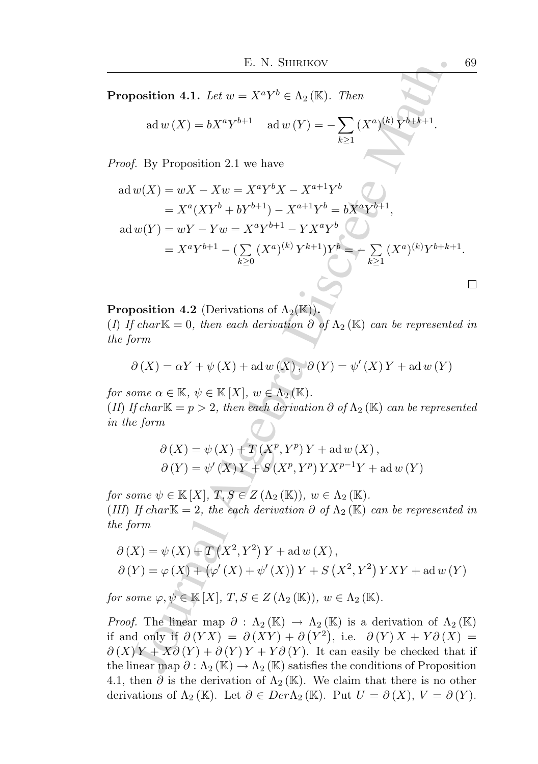**Proposition 4.1.** Let  $w = X^a Y^b \in \Lambda_2(\mathbb{K})$ . Then

 $ad w(X) = bX^aY^{b+1}$  ad  $w(Y) = -\sum$  $k\geq 1$  $(X^a)^{(k)} Y^{b+k+1}.$ 

Proof. By Proposition 2.1 we have

E. N. SHIRIKOV 69  
\n**proposition 4.1.** Let 
$$
w = X^a Y^b \in \Lambda_2 (\mathbb{K})
$$
. Then  
\n
$$
ad w(X) = bX^a Y^{b+1} \quad ad w(Y) = -\sum_{k\geq 1} (X^a)^{(k)} Y^{b+k+1}.
$$
\n*root.* By Proposition 2.1 we have  
\n
$$
ad w(X) = wX - Xw = X^a Y^b X - X^{a+1} Y^b
$$
\n
$$
= X^a (XY^b + bY^{b+1}) - X^{a+1} Y^b = bX^a Y^{b+1},
$$
\n
$$
ad w(Y) = wY - Yw = X^a Y^{b+1} - YX^a Y^b
$$
\n
$$
= X^a Y^{b+1} - (\sum_{k\geq 0} (X^a)^{(k)} Y^{k+1}) Y^b = -\sum_{k\geq 1} (X^a)^{(k)} Y^{b+k+1}.
$$
\n**proposition 4.2** (Derivations of  $\Lambda_2(\mathbb{K})$ ).  
\nOf  $char \mathbb{K} = 0$ , then each derivation  $\partial$  of  $\Lambda_2(\mathbb{K})$  can be represented in  
\n*e form*  
\n
$$
\partial(X) = \alpha Y + \psi (X) + \alpha \{w(X), \partial(Y) = \psi'(X) Y + \alpha \{w(Y)\}
$$
\n*r* some  $\alpha \in \mathbb{K}, \psi \in \mathbb{K}[X], w \in \Lambda_2(\mathbb{K})$ .  
\nOf  $char \mathbb{K} = p > 2$ , then each derivation  $\partial$  of  $\Lambda_2(\mathbb{K})$  can be represented  
\n*the form*  
\n
$$
\partial(X) = \psi (X) + T(X^p, Y^p) Y + \alpha \{w(X), \partial(Y) = \psi'(X) Y + \alpha \{w(Y)\}
$$
\n*r* some  $\psi \in \mathbb{K}[X], T, S \in \mathbb{Z}(\Lambda_2(\mathbb{K}))$ ,  $w \in \Lambda_2(\mathbb{K})$ .  
\n*if* If  $char \mathbb{K} = 2$ , the each derivation  $\partial$  of  $\Lambda_2(\mathbb{K})$ .  
\n*if*

**Proposition 4.2** (Derivations of  $\Lambda_2(\mathbb{K})$ ). (I) If char $K = 0$ , then each derivation  $\partial$  of  $\Lambda_2(K)$  can be represented in the form

$$
\partial\left(X\right)=\alpha Y+\psi\left(X\right)+\mathrm{ad}\,w\left(X\right),\ \partial\left(Y\right)=\psi'\left(X\right)Y+\mathrm{ad}\,w\left(Y\right)
$$

for some  $\alpha \in \mathbb{K}$ ,  $\psi \in \mathbb{K}[X]$ ,  $w \in \Lambda_2(\mathbb{K})$ . (II) If char $K = p > 2$ , then each derivation  $\partial$  of  $\Lambda_2(K)$  can be represented in the form

$$
\partial(X) = \psi(X) + T(X^p, Y^p)Y + \text{ad }w(X),
$$
  

$$
\partial(Y) = \psi'(X)Y + S(X^p, Y^p)YX^{p-1}Y + \text{ad }w(Y)
$$

for some  $\psi \in \mathbb{K}[X], T, S \in Z(\Lambda_2(\mathbb{K})), w \in \Lambda_2(\mathbb{K}).$ (III) If char $K = 2$ , the each derivation  $\partial$  of  $\Lambda_2(K)$  can be represented in the form

$$
\partial(X) = \psi(X) + T(X^2, Y^2)Y + ad w(X),
$$
  
 
$$
\partial(Y) = \varphi(X) + (\varphi'(X) + \psi'(X))Y + S(X^2, Y^2)YXY + ad w(Y)
$$

for some  $\varphi, \psi \in \mathbb{K}[X], T, S \in Z(\Lambda_2(\mathbb{K})), w \in \Lambda_2(\mathbb{K}).$ 

*Proof.* The linear map  $\partial : \Lambda_2(\mathbb{K}) \to \Lambda_2(\mathbb{K})$  is a derivation of  $\Lambda_2(\mathbb{K})$ if and only if  $\partial (YX) = \partial (XY) + \partial (Y^2)$ , i.e.  $\partial (Y) X + Y \partial (X) =$  $\partial(X) Y + X \partial(Y) + \partial(Y) Y + Y \partial(Y)$ . It can easily be checked that if the linear map  $\partial : \Lambda_2(\mathbb{K}) \to \Lambda_2(\mathbb{K})$  satisfies the conditions of Proposition 4.1, then  $\partial$  is the derivation of  $\Lambda_2(\mathbb{K})$ . We claim that there is no other derivations of  $\Lambda_2(\mathbb{K})$ . Let  $\partial \in Der\Lambda_2(\mathbb{K})$ . Put  $U = \partial(X), V = \partial(Y)$ .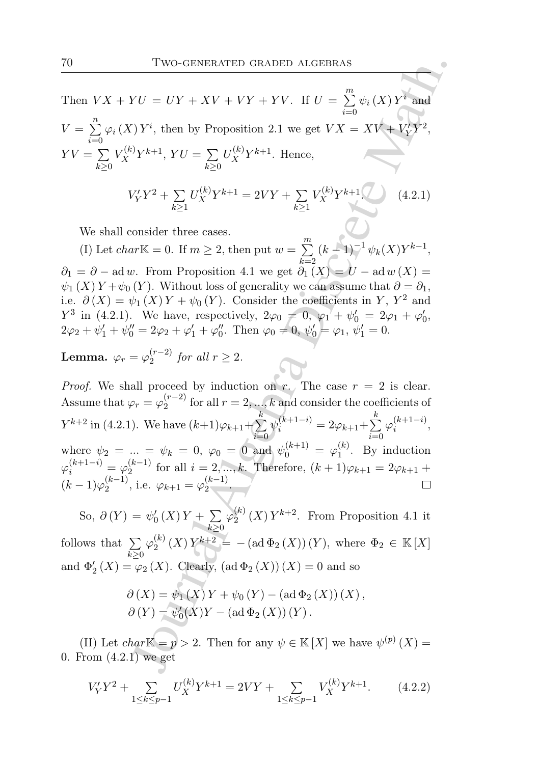Then  $V X + Y U = U Y + X V + V Y + Y V$ . If  $U = \sum_{n=1}^{M} V_n$  $i=0$  $\psi_i(X) Y^i$  and  $V = \sum_{i=1}^{n} \varphi_i(X) Y^i$ , then by Proposition 2.1 we get  $V X = X V + V'_Y Y^2$ ,  $i=0$  $YV = \sum$  $k\geq 0$  $V_X^{(k)}Y^{k+1}$ ,  $YU = \sum$  $k\geq 0$  $U_X^{(k)}Y^{k+1}$ . Hence,

$$
V'_Y Y^2 + \sum_{k \ge 1} U_X^{(k)} Y^{k+1} = 2VY + \sum_{k \ge 1} V_X^{(k)} Y^{k+1}
$$
 (4.2.1)

We shall consider three cases.

(I) Let *char*<sup>K</sup> = 0. If  $m \geq 2$ , then put  $w = \sum_{n=1}^{m}$  $k=2$  $(k-1)^{-1} \psi_k(X) Y^{k-1},$  $\partial_1 = \partial - \text{ad } w$ . From Proposition 4.1 we get  $\partial_1(X) = U - \text{ad } w(X) =$  $\psi_1(X) Y + \psi_0(Y)$ . Without loss of generality we can assume that  $\partial = \partial_1$ , i.e.  $\partial(X) = \psi_1(X) Y + \psi_0(Y)$ . Consider the coefficients in Y, Y<sup>2</sup> and  $Y^3$  in (4.2.1). We have, respectively,  $2\varphi_0 = 0$ ,  $\varphi_1' + \psi'_0 = 2\varphi_1 + \varphi'_0$ ,  $2\varphi_2 + \psi'_1 + \psi''_0 = 2\varphi_2 + \varphi'_1 + \varphi''_0$ . Then  $\varphi_0 = 0$ ,  $\psi'_0 = \varphi_1$ ,  $\psi'_1 = 0$ .

Lemma.  $\varphi_r = \varphi_2^{(r-2)}$  $2^{(r-2)}$  for all  $r \geq 2$ .

Two-GENERATED GRADED ALGEBRAS<br>  $YU = UY + XV + VY + YV$ . If  $U = \sum_{i=0}^{m} \psi_i(X) Y^i$  and<br>  $(YY^i)$ , then by Proposition 2.1 we get  $VX = XYY + YY^2$ ,<br>  $(YY^2 + \sum_{k\geq 1} U_X^{(k)}Y^{k+1}$ . Hence,<br>  $V_Y'Y^2 + \sum_{k\geq 1} U_X^{(k)}Y^{k+1} = 2VY + \sum_{k\geq 1} V_X$ *Proof.* We shall proceed by induction on r. The case  $r = 2$  is clear. Assume that  $\varphi_r = \varphi_2^{(r-2)}$  $\binom{n-2}{2}$  for all  $r=2,\ldots,k$  and consider the coefficients of  $Y^{k+2}$  in (4.2.1). We have  $(k+1)\varphi_{k+1}+\sum$ k  $i=0$   $i=0$  $\psi_i^{(k+1-i)}=2\varphi_{k+1}+\sum_1^n$ k  $\varphi_i^{(k+1-i)}$  $\binom{\kappa+1-i}{i},$ where  $\psi_2 = ... = \psi_k = 0, \ \varphi_0 = 0 \text{ and } \psi_0^{(k+1)} = \varphi_1^{(k)}$  $i^{(k)}$ . By induction  $\varphi_i^{(k+1-i)} = \varphi_2^{(k-1)}$  $\sum_{k=1}^{k-1}$  for all  $i = 2, ..., k$ . Therefore,  $(k + 1)\varphi_{k+1} = 2\varphi_{k+1} + \varphi_{k+1}$  $(k-1)\varphi_2^{(k-1)}$  $\varphi_2^{(k-1)}$ , i.e.  $\varphi_{k+1} = \varphi_2^{(k-1)}$  $\frac{(\kappa-1)}{2}$ .

So,  $\partial(Y) = \psi_0'(X)Y + \sum$  $k\geq 0$  $\varphi_2^{(k)}$  $2^{(k)}(X)Y^{k+2}$ . From Proposition 4.1 it follows that  $\Sigma$  $k\geq 0$  $\varphi^{(k)}_2$  $\mathbb{R}_{2}^{(k)}(X) Y^{k+2} = - (\text{ad}\,\Phi_{2}(X)) (Y), \text{ where } \Phi_{2} \in \mathbb{K}[X]$ and  $\Phi'_{2}(X) = \varphi_{2}(X)$ . Clearly,  $(\text{ad }\Phi_{2}(X))(X) = 0$  and so

$$
\partial (X) = \psi_1 (X) Y + \psi_0 (Y) - (\text{ad } \Phi_2 (X)) (X) ,\n\partial (Y) = \psi'_0 (X) Y - (\text{ad } \Phi_2 (X)) (Y) .
$$

(II) Let  $char \mathbb{K} = p > 2$ . Then for any  $\psi \in \mathbb{K}[X]$  we have  $\psi^{(p)}(X) =$ 0. From (4.2.1) we get

$$
V'_Y Y^2 + \sum_{1 \le k \le p-1} U_X^{(k)} Y^{k+1} = 2VY + \sum_{1 \le k \le p-1} V_X^{(k)} Y^{k+1}.
$$
 (4.2.2)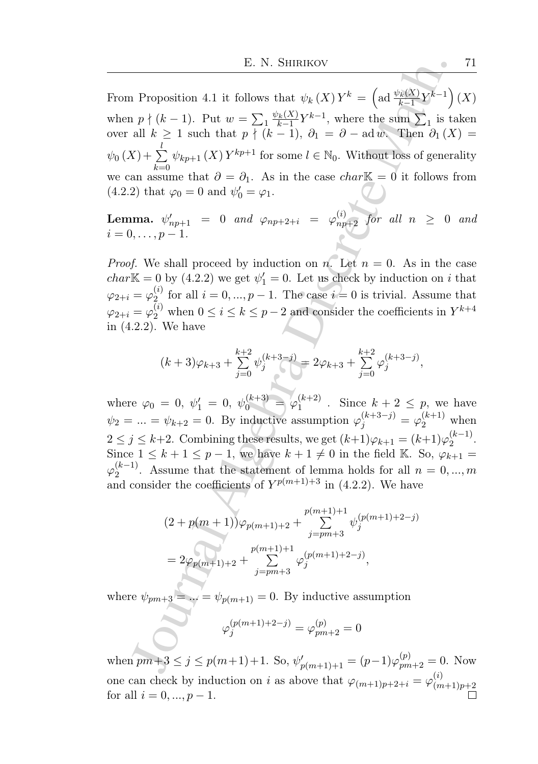E. N. SHIRIKOV<br>
I. Proposition 4.1 it follows that  $\psi_k(X)Y^k = \left(\text{ad }\frac{\psi_k(X)}{2}Y^{k-1}\right)$ <br>  $n p \nmid (k-1)$ . Put  $w = \sum_{1} \frac{\psi_k(X)}{k-1}Y^{k-1}$ , where the sum  $\sum_{1}$  is tall  $k \geq 1$  such that  $p \nmid (k-1)$ ,  $\partial_1 - \partial - \text{ad } w$ . Then From Proposition 4.1 it follows that  $\psi_k(X) Y^k = \left(\text{ad } \frac{\psi_k(X)}{k-1} Y^{k-1}\right)(X)$ when  $p \nmid (k-1)$ . Put  $w = \sum_{1} \frac{\psi_k(X)}{k-1}$  $\frac{\sum_{k=1}^{k} Y^{k-1}}{k-1}$ , where the sum  $\sum_{1}$  is taken over all  $k \geq 1$  such that  $p \nmid (k-1)$ ,  $\partial_1 = \partial - \text{ad } w$ . Then  $\partial_1(X) =$  $\psi_0\left(X\right) + \sum$ l we can assume that  $\partial = \partial_1$ . As in the case *char*<sup>K</sup> = 0 it follows from  $\psi_{kp+1}(X) Y^{kp+1}$  for some  $l \in \mathbb{N}_0$ . Without loss of generality (4.2.2) that  $\varphi_0 = 0$  and  $\psi'_0 = \varphi_1$ .

Lemma.  $\psi^{\prime}_{np+1} = 0$  and  $\varphi_{np+2+i} = \varphi^{(i)}_{np+2}$  for all  $n \geq 0$  and  $i = 0, \ldots, p - 1.$ 

*Proof.* We shall proceed by induction on n. Let  $n = 0$ . As in the case  $char\mathbb{K} = 0$  by (4.2.2) we get  $\psi'_1 = 0$ . Let us check by induction on i that  $\varphi_{2+i}=\varphi_{2}^{(i)}$  $f_2^{(i)}$  for all  $i = 0, ..., p - 1$ . The case  $i = 0$  is trivial. Assume that  $\varphi_{2+i} = \varphi_2^{(i)}$  when  $0 \le i \le k \le p-2$  and consider the coefficients in  $Y^{k+4}$ in (4.2.2). We have

$$
(k+3)\varphi_{k+3}+\sum_{j=0}^{k+2}\psi_j^{(k+3-j)}=2\varphi_{k+3}+\sum_{j=0}^{k+2}\varphi_j^{(k+3-j)},
$$

where  $\varphi_0 = 0, \psi'_1 = 0, \psi_0^{(k+3)} = \varphi_1^{(k+2)}$  $1^{(k+2)}$ . Since  $k+2 \leq p$ , we have  $\psi_2 = ... = \psi_{k+2} = 0$ . By inductive assumption  $\varphi_j^{(k+3-j)} = \varphi_2^{(k+1)}$  when  $2 \leq j \leq k+2$ . Combining these results, we get  $(k+1)\varphi_{k+1} = (k+1)\varphi_2^{(k-1)}$  $\frac{(\kappa-1)}{2}$ . Since  $1 \leq k+1 \leq p-1$ , we have  $k+1 \neq 0$  in the field K. So,  $\varphi_{k+1} =$  $\varphi_2^{(k-1)}$  $n<sup>(n-1)</sup>$ . Assume that the statement of lemma holds for all  $n = 0, ..., m$ and consider the coefficients of  $Y^{p(m+1)+3}$  in (4.2.2). We have

$$
(2+p(m+1))\varphi_{p(m+1)+2} + \sum_{j=pm+3}^{p(m+1)+1} \psi_j^{(p(m+1)+2-j)}
$$
  
=  $2\varphi_{p(m+1)+2} + \sum_{j=pm+3}^{p(m+1)+1} \varphi_j^{(p(m+1)+2-j)},$ 

where  $\psi_{pm+3} = \dots = \psi_{p(m+1)} = 0$ . By inductive assumption

$$
\varphi_j^{(p(m+1)+2-j)} = \varphi_{pm+2}^{(p)} = 0
$$

when  $pm+3 \le j \le p(m+1)+1$ . So,  $\psi'_{p(m+1)+1} = (p-1)\varphi_{pm+2}^{(p)} = 0$ . Now one can check by induction on i as above that  $\varphi_{(m+1)p+2+i} = \varphi_{(m)}^{(i)}$  $(m+1)p+2$ for all  $i = 0, ..., p - 1$ .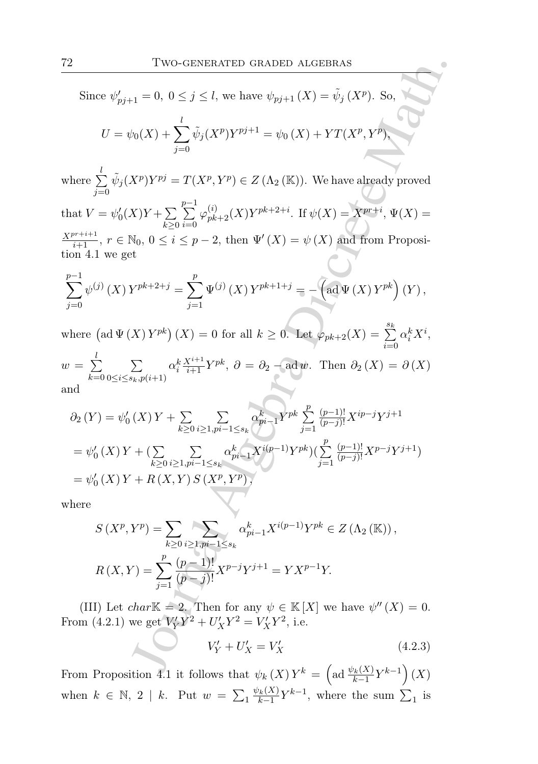Two-GENERATED GRADED ALGEBRAS<br>  $\psi_{11} = 0, 0 \leq j \leq l$ , we have  $\psi_{pj+1}(X) = \tilde{\psi}_{j}(X^{p}).$  So,  $\psi_{12}(X^{p}) + \sum_{j=0}^{l} \tilde{\psi}_{j}(X^{p})Y^{nj+1} = \psi_{0}(X) + YT(X^{p}, Y^{p})$ <br>  $X^{p})Y^{pj} = T(X^{p}, Y^{p}) \in Z(\Lambda_{2}(\mathbb{K})).$  We have already proved<br>  $X)Y + \sum$ Since  $\psi'_{pj+1} = 0, \ 0 \le j \le l$ , we have  $\psi_{pj+1}(X) = \tilde{\psi}_j(X^p)$ . So,  $U = \psi_0(X) + \sum$ l  $j=0$  $\tilde{\psi}_j(X^p)Y^{pj+1} = \psi_0(X) + YT(X^p, Y^p),$ where  $\sum$ l  $j=0$  $\tilde{\psi}_j(X^p)Y^{pj} = T(X^p, Y^p) \in Z(\Lambda_2 (\mathbb{K}))$ . We have already proved that  $V = \psi_0'(X)Y + \sum$  $k\succeq0$  $\sum^{p-1}$  $i=0$  $\varphi_{pk+2}^{(i)}(X)Y^{pk+2+i}$ . If  $\psi(X) = X^{pr+i}, \Psi(X) =$  $\frac{X^{pr+i+1}}{i+1}$ ,  $r \in \mathbb{N}_0$ ,  $0 \leq i \leq p-2$ , then  $\Psi'(X) = \psi(X)$  and from Proposition 4.1 we get  $\sum$  $p-1$  $j=0$  $\psi^{(j)}(X) Y^{pk+2+j} = \sum$ p  $j=1$  $\Psi^{(j)}(X) Y^{pk+1+j} = -\left(\text{ad}\Psi(X) Y^{pk}\right)(Y),$ 

where  $\left(\text{ad }\Psi\left(X\right)Y^{pk}\right)(X) = 0$  for all  $k \geq 0$ . Let  $\varphi_{pk+2}(X) = \sum_{k=0}^{s_k}$  $i=0$  $\alpha^k_i X^i,$  $w = \sum$ l  $_{k=0}$  $\sum$  $0 \le i \le s_k, p(i+1)$  $\alpha_i^k \frac{X^{i+1}}{i+1} Y^{pk}, \ \partial = \partial_2 - \text{ad }w.$  Then  $\partial_2(X) = \partial(X)$ and

$$
\partial_2(Y) = \psi_0'(X)Y + \sum_{k \ge 0} \sum_{i \ge 1, pi-1 \le s_k} \alpha_{pi-1}^k Y^{pk} \sum_{j=1}^p \frac{(p-1)!}{(p-j)!} X^{ip-j} Y^{j+1}
$$
  
=  $\psi_0'(X)Y + (\sum_{k \ge 0} \sum_{i \ge 1, pi-1 \le s_k} \alpha_{pi-1}^k X^{i(p-1)} Y^{pk}) (\sum_{j=1}^p \frac{(p-1)!}{(p-j)!} X^{p-j} Y^{j+1})$   
=  $\psi_0'(X)Y + R(X, Y) S(X^p, Y^p),$ 

where

$$
S(X^{p}, Y^{p}) = \sum_{k \geq 0} \sum_{i \geq 1, pi-1 \leq s_{k}} \alpha_{pi-1}^{k} X^{i(p-1)} Y^{pk} \in Z(\Lambda_{2}(\mathbb{K})),
$$
  

$$
R(X, Y) = \sum_{j=1}^{p} \frac{(p-1)!}{(p-j)!} X^{p-j} Y^{j+1} = Y X^{p-1} Y.
$$

(III) Let *char*<sup>K</sup> = 2. Then for any  $\psi \in K[X]$  we have  $\psi''(X) = 0$ . From (4.2.1) we get  $V'_Y Y^2 + U'_X Y^2 = V'_X Y^2$ , i.e.

$$
V'_Y + U'_X = V'_X \t\t(4.2.3)
$$

From Proposition 4.1 it follows that  $\psi_k(X) Y^k = \left(\text{ad } \frac{\psi_k(X)}{k-1} Y^{k-1}\right)(X)$ when  $k \in \mathbb{N}$ , 2 | k. Put  $w = \sum_{1} \frac{\psi_k(X)}{k-1}$  $\frac{\sum_{k}^{k}(X)}{k-1}Y^{k-1}$ , where the sum  $\sum_{1}$  is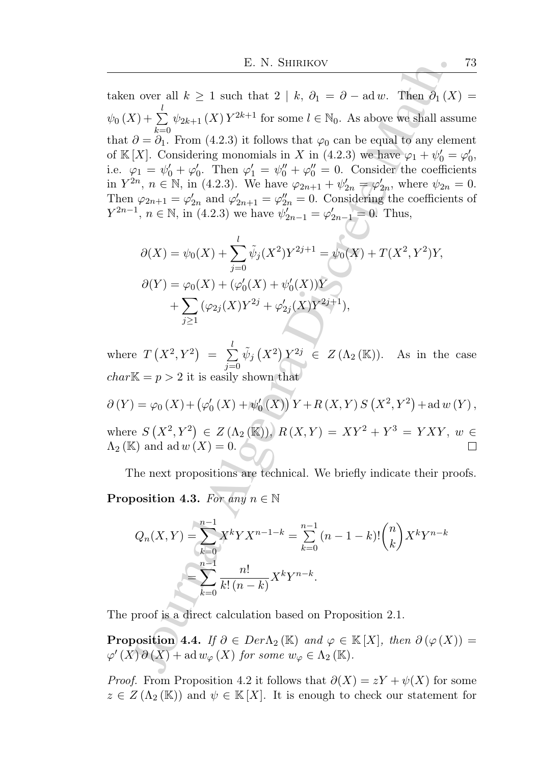E. N. SHIRIKOV<br>
Le. N. SHIRIKOV<br>  $\mathbf{u}$ , over all  $k \geq 1$  such that  $2 \mid k$ ,  $\partial_1 = \partial - \text{ad } w$ . Then  $\partial_1 (X + \sum_{k=0}^{k} \psi_{2k+1}(X) Y^{2k+1}$  for some  $\ell \in \mathbb{N}_0$ . As above we shall asso $\partial = \partial_1$ . From (4.2.3) it follows t taken over all  $k \geq 1$  such that  $2 \mid k, \partial_1 = \partial - \text{ad } w$ . Then  $\partial_1(X) =$  $\psi_0\left(X\right) + \sum$ l  $_{k=0}$  $\psi_{2k+1}(X) Y^{2k+1}$  for some  $l \in \mathbb{N}_0$ . As above we shall assume that  $\partial = \partial_1$ . From (4.2.3) it follows that  $\varphi_0$  can be equal to any element of K[X]. Considering monomials in X in (4.2.3) we have  $\varphi_1 + \psi'_0 = \varphi'_0$ , i.e.  $\varphi_1 = \psi'_0 + \varphi'_0$ . Then  $\varphi'_1 = \psi''_0 + \varphi''_0 = 0$ . Consider the coefficients in  $Y^{2n}$ ,  $n \in \mathbb{N}$ , in (4.2.3). We have  $\varphi_{2n+1} + \psi'_{2n} = \varphi'_{2n}$ , where  $\psi_{2n} = 0$ . Then  $\varphi_{2n+1} = \varphi'_{2n}$  and  $\varphi'_{2n+1} = \varphi''_{2n} = 0$ . Considering the coefficients of  $Y^{2n-1}, n \in \mathbb{N}$ , in (4.2.3) we have  $\psi'_{2n-1} = \varphi'_{2n-1} = 0$ . Thus,

$$
\partial(X) = \psi_0(X) + \sum_{j=0}^{l} \tilde{\psi}_j(X^2) Y^{2j+1} = \psi_0(X) + T(X^2, Y^2)Y,
$$
  
\n
$$
\partial(Y) = \varphi_0(X) + (\varphi'_0(X) + \psi'_0(X))Y
$$
  
\n
$$
+ \sum_{j \ge 1} (\varphi_{2j}(X) Y^{2j} + \varphi'_{2j}(X) Y^{2j+1}),
$$

where  $T(X^2, Y^2) = \sum$ l  $j=0$  $\tilde{\psi}_j(X^2) Y^{2j} \in Z(\Lambda_2(\mathbb{K}))$ . As in the case  $char\mathbb{K} = p > 2$  it is easily shown that

$$
\partial(Y) = \varphi_0(X) + (\varphi'_0(X) + \psi'_0(X)) Y + R(X, Y) S(X^2, Y^2) + \text{ad } w(Y),
$$
  
where  $S(X^2, Y^2) \in Z(\Lambda_2(\mathbb{K}))$ ,  $R(X, Y) = XY^2 + Y^3 = YXY$ ,  $w \in \Lambda_2(\mathbb{K})$  and  $\text{ad } w(X) = 0$ .

The next propositions are technical. We briefly indicate their proofs. **Proposition 4.3.** For any  $n \in \mathbb{N}$ 

$$
Q_n(X,Y) = \sum_{k=0}^{n-1} X^k Y X^{n-1-k} = \sum_{k=0}^{n-1} (n-1-k)! {n \choose k} X^k Y^{n-k}
$$

$$
= \sum_{k=0}^{n-1} \frac{n!}{k! (n-k)} X^k Y^{n-k}.
$$

The proof is a direct calculation based on Proposition 2.1.

**Proposition 4.4.** If  $\partial \in Der\Lambda_2(\mathbb{K})$  and  $\varphi \in \mathbb{K}[X]$ , then  $\partial(\varphi(X)) =$  $\varphi'(X) \partial(X) + \text{ad} w_{\varphi}(X) \text{ for some } w_{\varphi} \in \Lambda_2(\mathbb{K}).$ 

*Proof.* From Proposition 4.2 it follows that  $\partial(X) = zY + \psi(X)$  for some  $z \in Z(\Lambda_2(\mathbb{K}))$  and  $\psi \in \mathbb{K}[X]$ . It is enough to check our statement for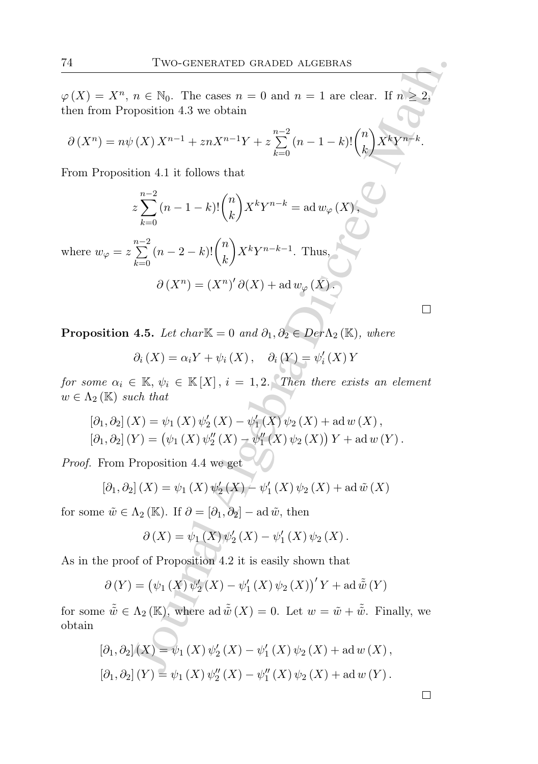$\varphi(X) = X^n$ ,  $n \in \mathbb{N}_0$ . The cases  $n = 0$  and  $n = 1$  are clear. If  $n \geq 2$ , then from Proposition 4.3 we obtain

Journal Algebra Discrete Math. ∂ (X<sup>n</sup> ) = nψ (X) Xn−<sup>1</sup> + znXn−1Y + z nP−2 k=0 (<sup>n</sup> <sup>−</sup> <sup>1</sup> <sup>−</sup> <sup>k</sup>)! n k XkY n−k .

From Proposition 4.1 it follows that

$$
z\sum_{k=0}^{n-2} (n-1-k)! {n \choose k} X^k Y^{n-k} = \text{ad} \, w_{\varphi} \, (X),
$$

where  $w_{\varphi} = z$  $\sum_{ }^{n-2}$  $k=0$  $(n-2-k)!$  $\binom{n}{k}$ k  $\bigg\} X^k Y^{n-k-1}$ . Thus, ′

$$
\partial (X^n) = (X^n)' \partial (X) + \mathrm{ad} \, w_{\varphi} (X) .
$$

**Proposition 4.5.** Let char $\mathbb{K} = 0$  and  $\partial_1, \partial_2 \in Der \Lambda_2(\mathbb{K})$ , where

$$
\partial_i(X) = \alpha_i Y + \psi_i(X), \quad \partial_i(Y) = \psi'_i(X) Y
$$

for some  $\alpha_i \in \mathbb{K}, \psi_i \in \mathbb{K}[X], i = 1, 2$ . Then there exists an element  $w \in \Lambda_2(\mathbb{K})$  such that

$$
[\partial_1, \partial_2] (X) = \psi_1(X) \psi_2'(X) - \psi_1'(X) \psi_2(X) + \text{ad} \, w(X),
$$
  

$$
[\partial_1, \partial_2] (Y) = (\psi_1(X) \psi_2''(X) - \psi_1''(X) \psi_2(X)) Y + \text{ad} \, w(Y).
$$

Proof. From Proposition 4.4 we get

$$
[\partial_1, \partial_2](X) = \psi_1(X) \psi_2'(X) - \psi_1'(X) \psi_2(X) + \text{ad } \tilde{w}(X)
$$

for some  $\tilde{w} \in \Lambda_2 (\mathbb{K})$ . If  $\partial = [\partial_1, \partial_2] - \mathrm{ad}\, \tilde{w}$ , then

$$
\partial(X) = \psi_1(X)\psi_2'(X) - \psi_1'(X)\psi_2(X).
$$

As in the proof of Proposition 4.2 it is easily shown that

$$
\partial(Y) = (\psi_1(X)\,\psi_2'(X) - \psi_1'(X)\,\psi_2(X)\,')'Y + \mathrm{ad}\,\tilde{\tilde{w}}(Y)
$$

for some  $\tilde{\tilde{w}} \in \Lambda_2 (\mathbb{K})$ , where ad  $\tilde{\tilde{w}}(X) = 0$ . Let  $w = \tilde{w} + \tilde{\tilde{w}}$ . Finally, we obtain

$$
[\partial_1, \partial_2](X) = \psi_1(X) \psi_2'(X) - \psi_1'(X) \psi_2(X) + \text{ad } w(X),
$$
  

$$
[\partial_1, \partial_2](Y) = \psi_1(X) \psi_2''(X) - \psi_1''(X) \psi_2(X) + \text{ad } w(Y).
$$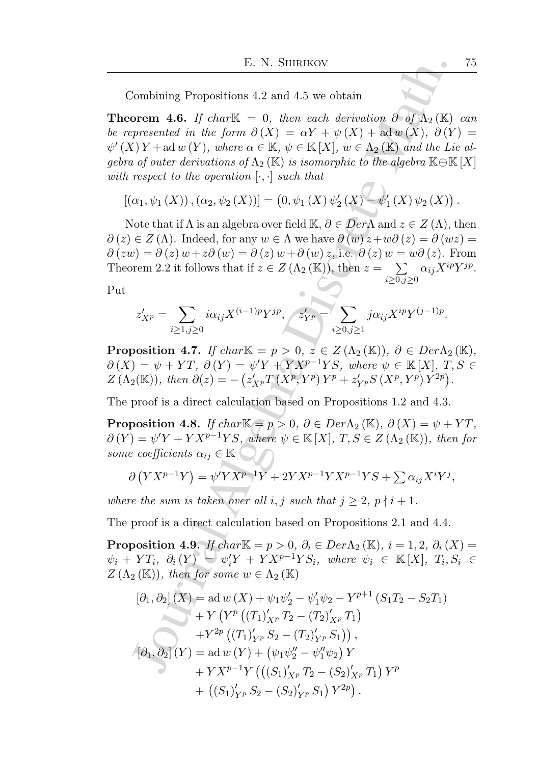Combining Propositions 4.2 and 4.5 we obtain

**Theorem 4.6.** If char $\mathbb{K} = 0$ , then each derivation  $\partial \phi f \Lambda_2(\mathbb{K})$  can be represented in the form  $\partial(X) = \alpha Y + \psi(X) + \text{ad} \, w(X), \, \partial(Y) =$  $\psi'(X) Y + ad w(Y)$ , where  $\alpha \in \mathbb{K}$ ,  $\psi \in \mathbb{K}[X]$ ,  $w \in \Lambda_2(\mathbb{K})$  and the Lie algebra of outer derivations of  $\Lambda_2(\mathbb{K})$  is isomorphic to the algebra  $\mathbb{K}\oplus\mathbb{K}[X]$ with respect to the operation  $[\cdot, \cdot]$  such that

$$
[(\alpha_1, \psi_1(X)), (\alpha_2, \psi_2(X))] = (0, \psi_1(X) \psi_2'(X) - \psi_1'(X) \psi_2(X)).
$$

Note that if  $\Lambda$  is an algebra over field  $\mathbb{K}, \partial \in \mathbb{D}e\mathbb{M}$  and  $z \in Z(\Lambda)$ , then  $\partial(z) \in Z(\Lambda)$ . Indeed, for any  $w \in \Lambda$  we have  $\partial(w) z + w \partial(z) = \partial(wz) = \overline{\partial(wz)}$  $\partial (zw) = \partial (z) w + z \partial (w) = \partial (z) w + \partial (w) z$ , i.e.  $\partial (z) w = w \partial (z)$ . From Theorem 2.2 it follows that if  $z \in Z(\Lambda_2 (\mathbb{K}))$ , then  $z = \sum$  $i \geq 0, j \geq 0$  $\alpha_{ij}X^{ip}Y^{jp}.$ 

Put

$$
z'_{X^p} = \sum_{i \ge 1, j \ge 0} i \alpha_{ij} X^{(i-1)p} Y^{jp}, \quad z'_{Y^p} = \sum_{i \ge 0, j \ge 1} j \alpha_{ij} X^{ip} Y^{(j-1)p}.
$$

**Proposition 4.7.** If char $\mathbb{K} = p > 0$ ,  $z \in Z(\Lambda_2(\mathbb{K}))$ ,  $\partial \in Der\Lambda_2(\mathbb{K})$ ,  $\partial(X) = \psi + YT, \ \partial(Y) = \psi'Y + YX^{p-1}YS, \ where \ \psi \in \mathbb{K}[X], \ T, S \in$  $Z(\Lambda_2(\mathbb{K}))$ , then  $\partial(z) = -\left(z'_{X^p}T(X^p, Y^p)Y^p + z'_{Y^p}S(X^p, Y^p)Y^{2p}\right).$ 

The proof is a direct calculation based on Propositions 1.2 and 4.3.

**Proposition 4.8.** If char $\mathbb{K} = p > 0$ ,  $\partial \in Der \Lambda_2(\mathbb{K})$ ,  $\partial(X) = \psi + YT$ ,  $\partial(Y) = \psi'Y + YX^{p-1}YS$ , where  $\psi \in \mathbb{K}[X]$ ,  $T, S \in Z(\Lambda_2(\mathbb{K}))$ , then for some coefficients  $\alpha_{ij} \in \mathbb{K}$ 

$$
\partial (YX^{p-1}Y) = \psi' Y X^{p-1}Y + 2Y X^{p-1} Y X^{p-1} Y S + \sum \alpha_{ij} X^i Y^j,
$$

where the sum is taken over all i, j such that  $j \geq 2$ ,  $p \nmid i+1$ .

The proof is a direct calculation based on Propositions 2.1 and 4.4.

**Proposition 4.9.** If char $\mathbb{K} = p > 0$ ,  $\partial_i \in Der \Lambda_2(\mathbb{K})$ ,  $i = 1, 2$ ,  $\partial_i(X) =$  $\psi_i + YT_i, \partial_i(Y) = \psi'_i Y + YX^{p-1}YS_i, \text{ where } \psi_i \in \mathbb{K}[X], T_i, S_i \in$  $Z(\Lambda_2 (\mathbb{K}))$ , then for some  $w \in \Lambda_2 (\mathbb{K})$ 

E. N. SHIRIKOV  
\nCombining Propositions 4.2 and 4.5 we obtain  
\n**orem 4.6.** If charK = 0, then each derivation 
$$
\partial
$$
 of  $\Lambda_2$  (K)  
\npresented in the form  $\partial(X) = \alpha Y + \psi(X) + \text{ad } w(X)$ ,  $\partial(Y)$   
\n $(Y)Y + \text{ad } w(Y)$ , where  $\alpha \in \mathbb{K}, \psi \in \mathbb{K}[X]$ ,  $w \in \Lambda_2(\mathbb{K})$  and the Liu  
\n*a* of outer derivations of  $\Lambda_2(\mathbb{K})$  is isomorphic to the algebra  $\mathbb{K} \oplus \mathbb{K}$   
\nrespect to the operation  $[\cdot, \cdot]$  such that  
\n $(\alpha_1, \psi_1(X)), (\alpha_2, \psi_2(X))] = (0, \psi_1(X) \psi_2(X) - \psi_1'(X) \psi_2(X))$   
\nNote that if  $\Lambda$  is an algebra over field  $\mathbb{K}, \partial \in Der\Lambda$  and  $z \in Z(\Lambda)$ ,  $\lambda \in Z(\Lambda)$ . Indeed, for any  $w \in \Lambda$  we have  $\partial(w)z + w\partial(z) = \partial(wz)$ .  
\n $w = \partial(z) w + z\partial(w) = \partial(z) w + \partial(w) z_n$ , i.e.,  $\partial(z) w = w\partial(z)$ .  
\nFrom 2.2 it follows that if  $z \in Z(\Lambda_2(\mathbb{K}))$ , then  $z = \sum_{i \geq 0, j \geq 0} \alpha_{ij}X^{ip}$ .  
\n $z'_{X^p} = \sum_{i \geq 1, j \geq 0} i\alpha_{ij}X^{(i-1)p}Y^{jp}$ ,  $z'_{Y^p} = \sum_{i \geq 0, j \geq 1} i\alpha_{ij}X^{ip}Y^{(j-1)p}$ .  
\n**position 4.7.** If charK =  $p > 0$ ,  $z \in Z(\Lambda_2(\mathbb{K}))$ ,  $\partial \in Der\Lambda_2$   
\n $| \geq \psi + YT$ ,  $\partial(Y) = \psi'Y + YXY^{p-1}YS$ , where  $\psi \in \mathbb{K}[X], T$ ,  
\n $2(\mathbb{$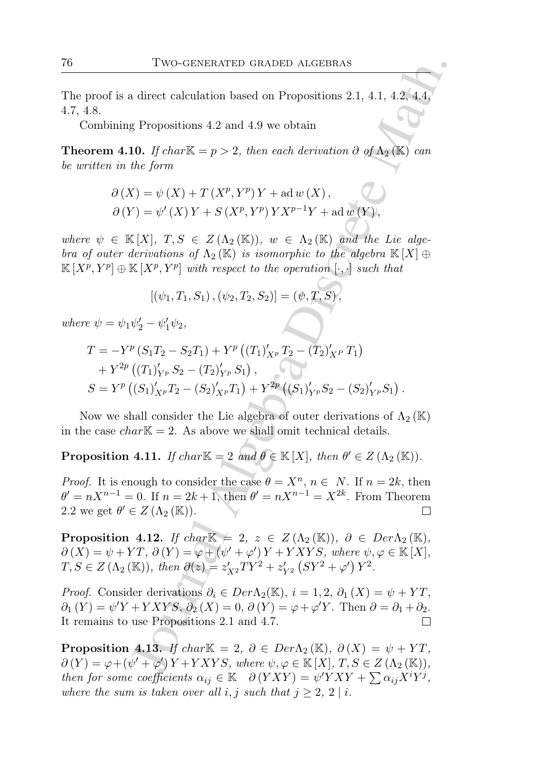The proof is a direct calculation based on Propositions 2.1, 4.1, 4.2, 4.4, 4.7, 4.8.

Combining Propositions 4.2 and 4.9 we obtain

**Theorem 4.10.** If char $\mathbb{K} = p > 2$ , then each derivation  $\partial$  of  $\Lambda_2(\mathbb{K})$  can be written in the form

$$
\partial(X) = \psi(X) + T(X^p, Y^p)Y + ad w(X),
$$
  

$$
\partial(Y) = \psi'(X)Y + S(X^p, Y^p)YX^{p-1}Y + ad w(Y),
$$

where  $\psi \in \mathbb{K}[X], T, S \in Z(\Lambda_2(\mathbb{K}))$ ,  $w \in \Lambda_2(\mathbb{K})$  and the Lie algebra of outer derivations of  $\Lambda_2(\mathbb{K})$  is isomorphic to the algebra  $\mathbb{K}[X] \oplus$  $\mathbb{K}[X^p, Y^p]\oplus \mathbb{K}[X^p, Y^p]$  with respect to the operation  $[\cdot, \cdot]$  such that

$$
[(\psi_1, T_1, S_1), (\psi_2, T_2, S_2)] = (\psi, T, S),
$$

where  $\psi = \psi_1 \psi_2' - \psi_1' \psi_2$ ,

Two-GENERATED GRADED ALGEBRAS  
\nproof is a direct calculation based on Propositions 2.1, 4.1, 4.2, 4.4,  
\n4.8.  
\nCombining Propositions 4.2 and 4.9 we obtain  
\n*orem* 4.10. If charK = 
$$
p > 2
$$
, then each derivation  $\partial$  of  $\Lambda_2$ (K) can  
\n*inter* in the form  
\n
$$
\partial(X) = \psi(X) + T(X^p, Y^p)Y + ad w(X),
$$
\n
$$
\partial(Y) = \psi'(X)Y + S(X^p, Y^p)YX^{p-1}Y + ad w(Y),
$$
\n
$$
e \psi \in K[X], T, S \in Z(\Lambda_2(K)), w \in \Lambda_2(K) \text{ and the Lie algebra}
$$
\n
$$
e^p, Y^p] \oplus K[X^p, Y^p] with respect to the operation [\cdot, \cdot] such that\n[(\psi_1, T_1, S_1), (\psi_2, T_2, S_2)] = (\psi, T, S),
$$
\n
$$
e \psi = \psi_1 \psi_2' - \psi_1' \psi_2,
$$
\n
$$
T = -Y^p(S_1T_2 - S_2T_1) + Y^p((T_1)_{X^p} T_2 - (T_2)_{X^p} T_1)
$$
\n
$$
+ Y^{2p}((T_1)_{Y^p} S_2 - (T_2)_{Y^p} S_1),
$$
\n
$$
S = Y^p((S_1)_{X^p} T_2 - (S_2)_{X^p} T_1) + Y^{2p}((S_1)_{Y^p} S_2 - (S_2)_{Y^p} S_1).
$$
\nNow we shall consider the Lie algebra of outer derivations of  $\Lambda_2(K)$   
\ne case  $char K = 2$ . As above we shall omit technical details.  
\nposition 4.11. If  $char K = 2$  and  $\theta \in K[X]$ , then  $\theta' \in Z(\Lambda_2(K))$ .  
\n*f*. It is enough to consider the case  $\theta = X^n$ ,  $n \in N$ . If  $n = 2k$ , then  
\n $nX^{n-1} = 0$ . If  $n = 2k + 1$ , then  $\theta' = nX^{n-1} = X^{2k}$ . From Theorem  
\nwe get  $\theta'$ 

Now we shall consider the Lie algebra of outer derivations of  $\Lambda_2(\mathbb{K})$ in the case  $char\mathbb{K} = 2$ . As above we shall omit technical details.

**Proposition 4.11.** If  $char \mathbb{K} = 2$  and  $\theta \in \mathbb{K}[X]$ , then  $\theta' \in Z(\Lambda_2(\mathbb{K}))$ .

*Proof.* It is enough to consider the case  $\theta = X^n$ ,  $n \in N$ . If  $n = 2k$ , then  $\theta' = nX^{n-1} = 0$ . If  $n = 2k + 1$ , then  $\theta' = nX^{n-1} = X^{2k}$ . From Theorem 2.2 we get  $\theta' \in Z(\Lambda_2(\mathbb{K}))$ .

**Proposition 4.12.** If char  $\mathbb{K} = 2$ ,  $z \in Z(\Lambda_2(\mathbb{K}))$ ,  $\partial \in Der \Lambda_2(\mathbb{K})$ ,  $\partial(X) = \psi + YT, \ \partial(Y) = \varphi + (\psi' + \varphi')Y + YXYS, \ where \ \psi, \varphi \in \mathbb{K}[X],$  $T, S \in Z(\Lambda_2 (\mathbb{K}))$ , then  $\partial(z) = z'_{X^2}TY^2 + z'_{Y^2} (SY^2 + \varphi') Y^2$ .

*Proof.* Consider derivations  $\partial_i \in Der\Lambda_2(\mathbb{K}), i = 1, 2, \partial_1(X) = \psi + YT$ ,  $\partial_1(Y) = \psi'Y + YXYS, \partial_2(X) = 0, \partial(Y) = \varphi + \varphi'Y.$  Then  $\partial = \partial_1 + \partial_2$ . It remains to use Propositions 2.1 and 4.7.

**Proposition 4.13.** If char $\mathbb{K} = 2$ ,  $\partial \in Der\Lambda_2(\mathbb{K})$ ,  $\partial(X) = \psi + YT$ ,  $\partial(Y) = \varphi + (\psi' + \varphi') Y + YXYS$ , where  $\psi, \varphi \in \mathbb{K}[X], T, S \in Z(\Lambda_2(\mathbb{K})),$ then for some coefficients  $\alpha_{ij} \in \mathbb{K}$   $\partial (YXY) = \psi'YXY + \sum \alpha_{ij}X^iY^j$ , where the sum is taken over all i, j such that  $j \geq 2$ ,  $2 \mid i$ .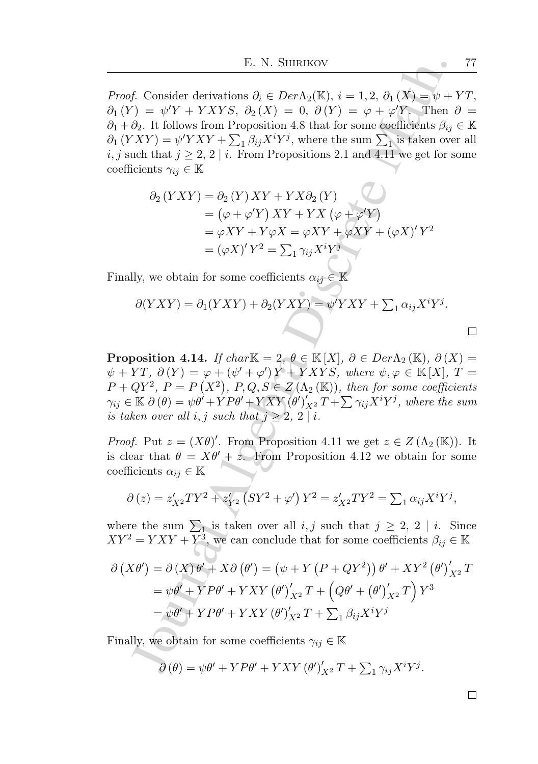E. N. SHIRIKOV<br>
f. Consider derivations  $\partial_i \in Der \Lambda_2(K), i = 1, 2, \partial_1(X) - \psi + i$ <br>  $\partial_2$ . H follows from Proposition 4.8 that for some coefficients  $\beta_{ij}$ <br>  $\partial_k$ . H follows from Proposition 4.8 that for some coefficients  $\beta_{ij$ *Proof.* Consider derivations  $\partial_i \in Der\Lambda_2(\mathbb{K}), i = 1, 2, \partial_1(X) = \psi + YT$ ,  $\partial_1(Y) = \psi'Y + YXYS, \ \partial_2(X) = 0, \ \partial(Y) = \varphi + \varphi'Y.$  Then  $\partial =$  $\partial_1 + \partial_2$ . It follows from Proposition 4.8 that for some coefficients  $\beta_{ij} \in \mathbb{K}$  $\partial_1 (YXY) = \psi'YXY + \sum_1 \beta_{ij} X^i Y^j$ , where the sum  $\sum_1$  is taken over all i, j such that  $j \geq 2$ ,  $2 \mid i$ . From Propositions 2.1 and 4.11 we get for some coefficients  $\gamma_{ij} \in \mathbb{K}$ 

$$
\partial_2 (YXY) = \partial_2 (Y) XY + YX\partial_2 (Y)
$$
  
=  $(\varphi + \varphi'Y) XY + YX (\varphi + \varphi'Y)$   
=  $\varphi XY + Y\varphi X = \varphi XY + \varphi XY + (\varphi X)' Y^2$   
=  $(\varphi X)' Y^2 = \sum_1 \gamma_{ij} X^i Y^j$ 

Finally, we obtain for some coefficients  $\alpha_{ij} \in \mathbb{K}$ 

$$
\partial (YXY) = \partial_1 (YXY) + \partial_2 (YXY) = \psi' YXY + \sum_1 \alpha_{ij} X^i Y^j.
$$

**Proposition 4.14.** If char $\mathbb{K} = 2$ ,  $\theta \in \mathbb{K}[X]$ ,  $\partial \in Der\Lambda_2(\mathbb{K})$ ,  $\partial(X) =$  $\psi + YT, \ \partial(Y) = \varphi + (\psi' + \varphi')Y + YXYS, \ where \ \psi, \varphi \in \mathbb{K}[X], \ T =$  $P + QY^2$ ,  $P = P(X^2)$ ,  $P,Q,S \in Z(\Lambda_2(K))$ , then for some coefficients  $\gamma_{ij}\in\mathbb{K}\;\partial\left(\theta\right)=\psi\theta'+YP\theta'+YXY\left(\theta'\right)'_{X^2}T+\sum\gamma_{ij}X^iY^j,\text{ where the sum }$ is taken over all i, j such that  $j \geq 2$ ,  $2 \mid i$ .

*Proof.* Put  $z = (X\theta)'$ . From Proposition 4.11 we get  $z \in Z(\Lambda_2(K))$ . It is clear that  $\theta = X\theta' + z$ . From Proposition 4.12 we obtain for some coefficients  $\alpha_{ij} \in \mathbb{K}$ 

$$
\partial(z) = z'_{X^2} T Y^2 + z'_{Y^2} (S Y^2 + \varphi') Y^2 = z'_{X^2} T Y^2 = \sum_1 \alpha_{ij} X^i Y^j,
$$

where the sum  $\sum_{i=1}^{n}$  is taken over all  $i, j$  such that  $j \geq 2, 2 \mid i$ . Since  $XY^2 = YXY + Y^3$ , we can conclude that for some coefficients  $\beta_{ij} \in \mathbb{K}$ 

$$
\partial (X\theta') = \partial (X)\theta' + X\partial (\theta') = (\psi + Y (P + QY^2)) \theta' + XY^2 (\theta')'_{X^2} T
$$
  
=  $\psi \theta' + YP\theta' + YXY (\theta')'_{X^2} T + (Q\theta' + (\theta')'_{X^2} T) Y^3$   
=  $\psi \theta' + YP\theta' + YXY (\theta')'_{X^2} T + \sum_{i} \beta_{ij} X^i Y^j$ 

Finally, we obtain for some coefficients  $\gamma_{ij} \in \mathbb{K}$ 

$$
\partial(\theta) = \psi\theta' + YP\theta' + YXY(\theta')_{X^2}'T + \sum_{1} \gamma_{ij}X^{i}Y^{j}.
$$

 $\Box$ 

 $\Box$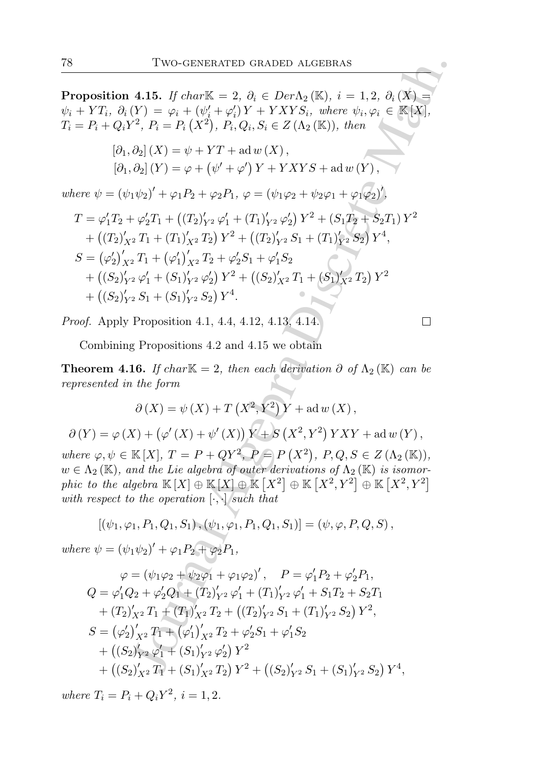**Proposition 4.15.** If char $\mathbb{K} = 2$ ,  $\partial_i \in Der \Lambda_2(\mathbb{K})$ ,  $i = 1, 2$ ,  $\partial_i(X) =$  $\psi_i + \overline{Y}T_i, \ \partial_i(Y) = \varphi_i + (\psi'_i + \varphi'_i) \overline{Y} + \overline{Y}XYS_i, \ \text{where} \ \psi_i, \varphi_i \in \mathbb{K}[X],$  $T_i = P_i + Q_i Y^2$ ,  $P_i = P_i (X^2)$ ,  $P_i, Q_i, S_i \in Z(\Lambda_2 (\mathbb{K}))$ , then

$$
[\partial_1, \partial_2](X) = \psi + YT + \text{ad } w(X),
$$
  

$$
[\partial_1, \partial_2](Y) = \varphi + (\psi' + \varphi')Y + YXYS + \text{ad } w(Y),
$$

where  $\psi = (\psi_1 \psi_2)' + \varphi_1 P_2 + \varphi_2 P_1$ ,  $\varphi = (\psi_1 \varphi_2 + \psi_2 \varphi_1 + \varphi_1 \varphi_2)'$ ,

$$
T = \varphi_1' T_2 + \varphi_2' T_1 + ((T_2)_{Y^2}' \varphi_1' + (T_1)_{Y^2}' \varphi_2') Y^2 + (S_1 T_2 + S_2 T_1) Y^2
$$
  
+ 
$$
((T_2)_{X^2}' T_1 + (T_1)_{X^2}' T_2) Y^2 + ((T_2)_{Y^2}' S_1 + (T_1)_{Y^2}' S_2) Y^4,
$$
  

$$
S = (\varphi_2')_{X^2}' T_1 + (\varphi_1')_{X^2}' T_2 + \varphi_2' S_1 + \varphi_1' S_2
$$
  
+ 
$$
((S_2)_{Y^2}' \varphi_1' + (S_1)_{Y^2}' \varphi_2') Y^2 + ((S_2)_{X^2}' T_1 + (S_1)_{X^2}' T_2) Y^2
$$
  
+ 
$$
((S_2)_{Y^2}' S_1 + (S_1)_{Y^2}' S_2) Y^4.
$$

Proof. Apply Proposition 4.1, 4.4, 4.12, 4.13, 4.14.

$$
\Box
$$

Combining Propositions 4.2 and 4.15 we obtain

**Theorem 4.16.** If char $\mathbb{K} = 2$ , then each derivation  $\partial$  of  $\Lambda_2(\mathbb{K})$  can be represented in the form

$$
\partial(X) = \psi(X) + T(X^2, Y^2)Y + ad w(X),
$$
  

$$
\partial(Y) = \varphi(X) + (\varphi'(X) + \psi'(X))Y + S(X^2, Y^2)YXY + ad w(Y),
$$

where  $\varphi, \psi \in \mathbb{K}[X], T = P + QY^2, P = P(X^2), P, Q, S \in Z(\Lambda_2(\mathbb{K})),$  $w \in \Lambda_2(\mathbb{K})$ , and the Lie algebra of outer derivations of  $\Lambda_2(\mathbb{K})$  is isomorphic to the algebra  $\mathbb{K}[X] \oplus \mathbb{K}[X] \oplus \mathbb{K}[X^2] \oplus \mathbb{K}[X^2, Y^2] \oplus \mathbb{K}[X^2, Y^2]$ with respect to the operation  $[\cdot, \cdot]$  such that

$$
[(\psi_1, \varphi_1, P_1, Q_1, S_1), (\psi_1, \varphi_1, P_1, Q_1, S_1)] = (\psi, \varphi, P, Q, S),
$$

where  $\psi = (\psi_1 \psi_2)' + \varphi_1 P_2 + \varphi_2 P_1$ ,

Two-GENERALED GRADED ALGEBRAS  
\nposition 4.15. If char K = 2, 
$$
\partial_i \in Der \Lambda_2 (K), i = 1, 2, \partial_i (X) = YT_i, \partial_i (Y) = \varphi_i + (\psi'_i + \varphi'_i) Y + Y X Y S_i, where  $\psi_i, \varphi_i \in K[X]$ ,  
\n $P_i + Q_i Y^2, P_i = P_i (X^2), P_i, Q_i, S_i \in Z(\Lambda_2 (K)), then$   
\n
$$
[\partial_1, \partial_2](X) = \psi + YT + ad w(X),
$$
\n
$$
[\partial_1, \partial_2](Y) = \varphi + (\psi' + \varphi') Y + Y X Y S + ad w(Y),
$$
\n
$$
= \varphi'_1 T_2 + \varphi'_2 T_1 + (T_2)'_{Y^2} \varphi'_1 + (T_1)'_{Y^2} \varphi'_2 Y^2 + (S_1 T_2 + S_2 T_1) Y^2
$$
\n
$$
= \varphi'_1 T_2 + \varphi'_2 T_1 + (T_1)'_{X^2} T_2 Y^2 + (T_2)'_{Y^2} S_1 + (T_1)'_{Y^2} S_2 Y^4,
$$
\n
$$
= (\varphi'_2)'_{X^2} T_1 + (\varphi'_1)'_{X^2} T_2 + \varphi'_2 S_1 + \varphi'_1 S_2
$$
\n
$$
+ ((S_2)'_{Y^2} \varphi'_1 + (S_1)'_{Y^2} \varphi'_2) Y^2 + ((S_2)'_{X^2} T_1 + (S_1)'_{X^2} S_2) Y^4,
$$
\n
$$
= (\varphi'_2)'_{X^2} T_1 + (\varphi'_1)'_{X^2} T_2 + \varphi'_2 S_1 + \varphi'_1 S_2
$$
\n
$$
+ ((S_2)'_{Y^2} S_1 + (S_1)'_{Y^2} S_2) Y^4.
$$
\n
$$
f. Apply Proposition 4.1, 4.4, 1.12, 4.13, 4.14.
$$
\nCombining Propositions 4.2 and 4.15 we obtain  
\n
$$
\text{over and } \text{in } \text{form}
$$
\n
$$
\partial(X) = \psi(X) + T(X^2, Y^2) Y + ad w(X),
$$
\n
$$
Y) = \var
$$
$$

where  $T_i = P_i + Q_i Y^2$ ,  $i = 1, 2$ .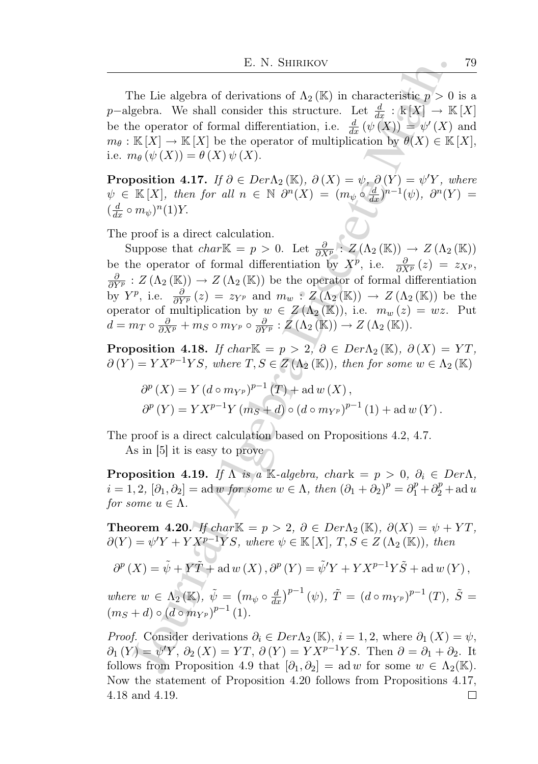The Lie algebra of derivations of  $\Lambda_2(\mathbb{K})$  in characteristic  $p > 0$  is a p-algebra. We shall consider this structure. Let  $\frac{d}{dx} : \mathbb{k}[X] \to \mathbb{K}[X]$ be the operator of formal differentiation, i.e.  $\frac{d}{dx}(\psi(X)) = \psi'(X)$  and  $m_{\theta}: \mathbb{K}[X] \to \mathbb{K}[X]$  be the operator of multiplication by  $\theta(X) \in \mathbb{K}[X]$ , i.e.  $m_{\theta}(\psi(X)) = \theta(X) \psi(X)$ .

**Proposition 4.17.** If  $\partial \in Der \Lambda_2(\mathbb{K})$ ,  $\partial(X) = \psi$ ,  $\partial(Y) = \psi'Y$ , where  $\psi$   $\in$  K[X], then for all  $n \in \mathbb{N}$   $\partial^n(X) = (m_{\psi} \circ \frac{d}{dx})^{n-1}(\psi)$ ,  $\partial^n(Y) =$  $\left(\frac{d}{dx} \circ m_{\psi}\right)^n(1)Y.$ 

The proof is a direct calculation.

E. N. SHIRIKOV<br>
The Lie algebra of derivations of  $\Lambda_2(K)$  in characteristic  $p > 0$ <br>
gebra. We shall consider this structure. Let  $\frac{d}{dt}$ :  $\frac{1}{2}$   $\frac{1}{2}$   $\frac{1}{2}$   $\frac{1}{2}$   $\frac{1}{2}$   $\frac{1}{2}$   $\frac{1}{2}$   $\frac{1}{2}$  Suppose that  $char\mathbb{K} = p > 0$ . Let  $\frac{\partial}{\partial X^p}$ :  $Z(\Lambda_2(\mathbb{K})) \to Z(\Lambda_2(\mathbb{K}))$ be the operator of formal differentiation by  $X^p$ , i.e.  $\frac{\partial}{\partial X^p}(z) = z_{X^p}$ ,  $\frac{\partial}{\partial Y^p}$  :  $Z(\Lambda_2(\mathbb{K})) \to Z(\Lambda_2(\mathbb{K}))$  be the operator of formal differentiation by  $Y^p$ , i.e.  $\frac{\partial}{\partial Y^p}(z) = z_{Y^p}$  and  $m_w : Z(\Lambda_2(\mathbb{K})) \to Z(\Lambda_2(\mathbb{K}))$  be the operator of multiplication by  $w \in Z(\Lambda_2(\mathbb{K}))$ , i.e.  $m_w(z) = wz$ . Put  $d = m_T \circ \frac{\partial}{\partial X^p} + m_S \circ m_{Y^p} \circ \frac{\partial}{\partial Y^p} : \mathcal{Z}(\Lambda_2 (\mathbb{K})) \to \mathcal{Z}(\Lambda_2 (\mathbb{K})).$ 

**Proposition 4.18.** If char $\mathbb{K} = p > 2, \theta \in Der \Lambda_2(\mathbb{K}), \partial(X) = YT$ ,  $\partial(Y) = YX^{p-1}YS$ , where  $T, S \in Z(\Lambda_2(\mathbb{K}))$ , then for some  $w \in \Lambda_2(\mathbb{K})$ 

$$
\partial^{p}(X) = Y (d \circ m_{Y^{p}})^{p-1}(T) + \text{ad} w(X), \n\partial^{p}(Y) = Y X^{p-1} Y (m_{S} + d) \circ (d \circ m_{Y^{p}})^{p-1}(1) + \text{ad} w(Y).
$$

The proof is a direct calculation based on Propositions 4.2, 4.7.

As in [5] it is easy to prove

**Proposition 4.19.** If  $\overline{\Lambda}$  is a K-algebra, chark =  $p > 0$ ,  $\partial_i \in Der \Lambda$ ,  $i = 1, 2, [\partial_1, \partial_2] = \text{ad } w \text{ for some } w \in \Lambda, \text{ then } (\partial_1 + \partial_2)^p = \partial_1^p + \partial_2^p + \text{ad } u$ for some  $u \in \Lambda$ .

**Theorem 4.20.** If char $\mathbb{K} = p > 2$ ,  $\partial \in Der \Lambda_2(\mathbb{K})$ ,  $\partial(X) = \psi + YT$ ,  $\partial(Y) = \psi'Y + YX^{p-1}YS$ , where  $\psi \in \mathbb{K}[X]$ ,  $T, S \in Z(\Lambda_2(\mathbb{K}))$ , then

$$
\partial^{p}(X) = \tilde{\psi} + Y\tilde{T} + ad w(X), \partial^{p}(Y) = \tilde{\psi}'Y + YX^{p-1}Y\tilde{S} + ad w(Y),
$$

where  $w \in \Lambda_2(\mathbb{K})$ ,  $\tilde{\psi} = (m_{\psi} \circ \frac{d}{dx})^{p-1}(\psi)$ ,  $\tilde{T} = (d \circ m_{Y^p})^{p-1}(T)$ ,  $\tilde{S} =$  $(m_S + d) \circ (d \circ m_{Y^p})^{p-1} (1).$ 

*Proof.* Consider derivations  $\partial_i \in Der \Lambda_2(\mathbb{K}), i = 1, 2$ , where  $\partial_1(X) = \psi$ ,  $\partial_1(Y) = \psi'Y, \, \partial_2(X) = YT, \, \partial(Y) = YX^{p-1}YS.$  Then  $\partial = \partial_1 + \partial_2$ . It follows from Proposition 4.9 that  $[\partial_1, \partial_2] = \text{ad } w$  for some  $w \in \Lambda_2(\mathbb{K})$ . Now the statement of Proposition 4.20 follows from Propositions 4.17, 4.18 and 4.19. $\Box$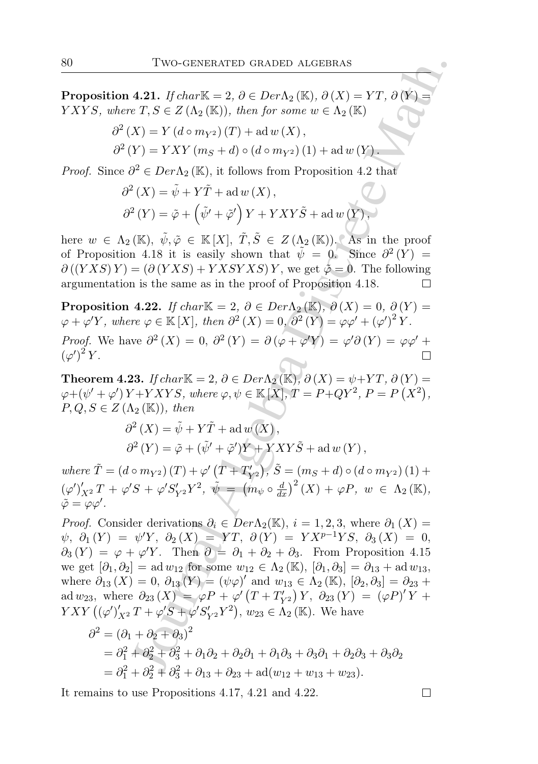**Proposition 4.21.** If char $\mathbb{K} = 2$ ,  $\partial \in Der \Lambda_2(\mathbb{K})$ ,  $\partial(X) = YT$ ,  $\partial(Y)$ YXYS, where  $T, S \in Z(\Lambda_2(K))$ , then for some  $w \in \Lambda_2(K)$ 

$$
\partial^{2} (X) = Y (d \circ m_{Y^{2}}) (T) + \text{ad} w (X),
$$
  

$$
\partial^{2} (Y) = YXY (m_{S} + d) \circ (d \circ m_{Y^{2}}) (1) + \text{ad} w (Y).
$$

*Proof.* Since  $\partial^2 \in Der\Lambda_2(\mathbb{K})$ , it follows from Proposition 4.2 that

$$
\partial^{2} (X) = \tilde{\psi} + Y\tilde{T} + \text{ad} w (X) ,
$$
  

$$
\partial^{2} (Y) = \tilde{\varphi} + (\tilde{\psi'} + \tilde{\varphi'}) Y + YXY\tilde{S} + \text{ad} w (Y) ,
$$

here  $w \in \Lambda_2(\mathbb{K}), \ \tilde{\psi}, \tilde{\varphi} \in \mathbb{K}[X], \ \tilde{T}, \tilde{S} \in Z(\Lambda_2(\mathbb{K}))$ . As in the proof of Proposition 4.18 it is easily shown that  $\tilde{\psi} = 0$ . Since  $\partial^2(Y) =$  $\partial ((YXS)Y) = (\partial (YXS) + YXSYXS)Y$ , we get  $\tilde{\varphi} = 0$ . The following argumentation is the same as in the proof of Proposition 4.18.

**Proposition 4.22.** If char $\mathbb{K} = 2$ ,  $\partial \in Der \Lambda_2(\mathbb{K})$ ,  $\partial(X) = 0$ ,  $\partial(Y) = 0$  $\varphi + \varphi' Y$ , where  $\varphi \in \mathbb{K}[X]$ , then  $\partial^2(X) = 0$ ,  $\partial^2(Y) = \varphi \varphi' + (\varphi')^2 Y$ . *Proof.* We have  $\partial^2(X) = 0$ ,  $\partial^2(Y) = \partial(\varphi + \varphi'Y) = \varphi'\partial(Y) = \varphi\varphi' + \varphi'Y$  $(\varphi')^2 Y$ .

Theorem 4.23. If char $\mathbb{K} = 2$ ,  $\partial \in Der \Lambda_2(\mathbb{K})$ ,  $\partial(X) = \psi + YT$ ,  $\partial(Y) =$  $\varphi + (\psi' + \varphi') Y + Y X Y S$ , where  $\varphi, \psi \in \mathbb{K}[X], T = P + QY^2, P = P(X^2)$ ,  $P, Q, S \in Z(\Lambda_2(\mathbb{K}))$ , then

$$
\partial^{2} (X) = \tilde{\psi} + Y \tilde{T} + \text{ad} w (X),
$$
  

$$
\partial^{2} (Y) = \tilde{\varphi} + (\tilde{\psi}' + \tilde{\varphi}')Y + YXY \tilde{S} + \text{ad} w (Y),
$$

where  $\tilde{T} = (d \circ m_{Y^2}) (T) + \varphi' (T + T'_{Y^2}), \tilde{S} = (m_S + d) \circ (d \circ m_{Y^2}) (1) +$  $(\varphi')'_{X^2} T + \varphi' S + \varphi' S'_{Y^2} Y^2, \ \tilde{\psi} = (m_{\psi} \circ \frac{d}{dx})^2 (X) + \varphi P, \ w \in \Lambda_2 (\mathbb{K}),$  $\tilde{\varphi} = \varphi \varphi'$ .

Two-GENERATED GRADED ALGEBRAS<br>
4.21. If clurk  $K = 2$ ,  $\partial \in Der \Lambda_2(K)$ ,  $\partial (X) = YT$ ,  $\partial (Y) = YT$ ,  $\partial (Y) = YT$ ,  $\partial (Y) = YXY$  (mg + d)  $\alpha$  is  $\alpha$ ) ( $\alpha$  impy) (1) + ad w (X),<br>  $YY = YXY$  (mg + d)  $\alpha$  (d c mpy) (1) + ad w (X),<br>  $\$ *Proof.* Consider derivations  $\partial_i \in Der\Lambda_2(\mathbb{K}), i = 1, 2, 3$ , where  $\partial_1(X) =$  $\psi$ ,  $\partial_1(Y) = \psi'Y$ ,  $\partial_2(X) = YT$ ,  $\partial(Y) = YX^{p-1}YS$ ,  $\partial_3(X) = 0$ ,  $\partial_3(Y) = \varphi + \varphi' Y$ . Then  $\partial = \partial_1 + \partial_2 + \partial_3$ . From Proposition 4.15 we get  $[\partial_1, \partial_2] = \text{ad } w_{12}$  for some  $w_{12} \in \Lambda_2(\mathbb{K}), [\partial_1, \partial_3] = \partial_{13} + \text{ad } w_{13}$ , where  $\partial_{13}(X) = 0, \, \partial_{13}(Y) = (\psi \varphi)'$  and  $w_{13} \in \Lambda_2(\mathbb{K}), [\partial_2, \partial_3] = \partial_{23} + \Lambda_3$ ad  $w_{23}$ , where  $\partial_{23}(X) = \varphi P + \varphi'(T + T'_{Y2}) Y$ ,  $\partial_{23}(Y) = (\varphi P)' Y +$  $YXY((\varphi')'_{X^2}T+\varphi'S+\varphi'S'_{Y^2}Y^2), w_{23} \in \Lambda_2(\mathbb{K})$ . We have

$$
\partial^{2} = (\partial_{1} + \partial_{2} + \partial_{3})^{2}
$$
  
=  $\partial_{1}^{2} + \partial_{2}^{2} + \partial_{3}^{2} + \partial_{1}\partial_{2} + \partial_{2}\partial_{1} + \partial_{1}\partial_{3} + \partial_{3}\partial_{1} + \partial_{2}\partial_{3} + \partial_{3}\partial_{2}$   
=  $\partial_{1}^{2} + \partial_{2}^{2} + \partial_{3}^{2} + \partial_{13} + \partial_{23} + \text{ad}(w_{12} + w_{13} + w_{23}).$ 

It remains to use Propositions 4.17, 4.21 and 4.22.

$$
\qquad \qquad \Box
$$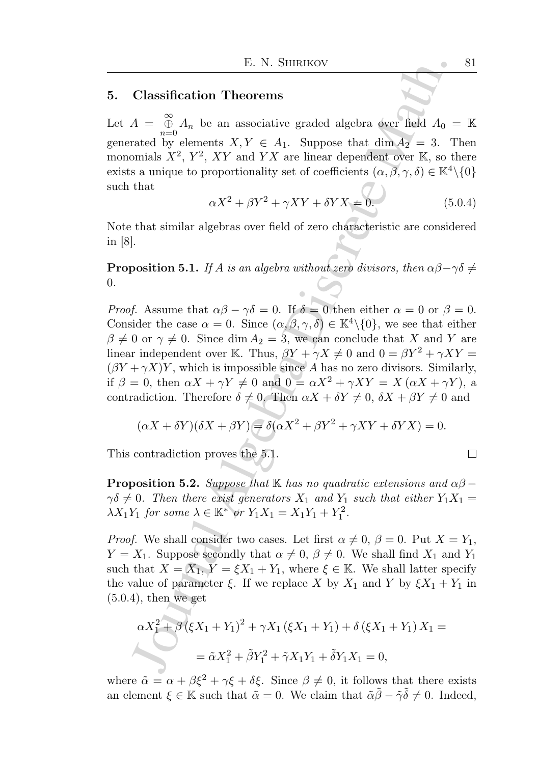## 5. Classification Theorems

Let  $A = \bigoplus_{n=0}^{\infty} A_n$  be an associative graded algebra over field  $A_0 = \mathbb{K}$ generated by elements  $X, Y \in A_1$ . Suppose that  $\dim A_2 = 3$ . Then monomials  $X^2$ ,  $Y^2$ ,  $XY$  and  $YX$  are linear dependent over K, so there exists a unique to proportionality set of coefficients  $(\alpha, \beta, \gamma, \delta) \in \mathbb{K}^4 \setminus \{0\}$ such that

$$
\alpha X^2 + \beta Y^2 + \gamma XY + \delta YX = 0.
$$
\n(5.0.4)

Note that similar algebras over field of zero characteristic are considered in [8].

**Proposition 5.1.** If A is an algebra without zero divisors, then  $\alpha\beta - \gamma\delta \neq$ 0.

E. N. SHIRIKOV<br>
Classification Theorems<br>  $A = \frac{\infty}{6} A_n$  be an associative graded algebra over field  $A_0$  -<br>
rated by elements  $X, Y \in A_1$ . Suppose that dim  $A_Y = 3$ . Then<br>
and  $\sum_i X_i Y_i X Y$  and  $YX$  are linear dependent over *Proof.* Assume that  $\alpha\beta - \gamma\delta = 0$ . If  $\delta = 0$  then either  $\alpha = 0$  or  $\beta = 0$ . Consider the case  $\alpha = 0$ . Since  $(\alpha, \beta, \gamma, \delta) \in \mathbb{K}^4 \setminus \{0\}$ , we see that either  $\beta \neq 0$  or  $\gamma \neq 0$ . Since dim  $A_2 = 3$ , we can conclude that X and Y are linear independent over K. Thus,  $\beta Y + \gamma X \neq 0$  and  $0 = \beta Y^2 + \gamma XY =$  $(\beta Y + \gamma X)Y$ , which is impossible since A has no zero divisors. Similarly, if  $\beta = 0$ , then  $\alpha X + \gamma Y \neq 0$  and  $0 = \alpha X^2 + \gamma XY = X(\alpha X + \gamma Y)$ , a contradiction. Therefore  $\delta \neq 0$ . Then  $\alpha X + \delta Y \neq 0$ ,  $\delta X + \beta Y \neq 0$  and

$$
(\alpha X + \delta Y)(\delta X + \beta Y) = \delta(\alpha X^2 + \beta Y^2 + \gamma XY + \delta YX) = 0.
$$

This contradiction proves the 5.1.

**Proposition 5.2.** Suppose that K has no quadratic extensions and  $\alpha\beta$  –  $\gamma\delta\neq 0$ . Then there exist generators  $X_1$  and  $Y_1$  such that either  $Y_1X_1 =$  $\lambda X_1 Y_1$  for some  $\lambda \in \mathbb{K}^*$  or  $Y_1 X_1 = X_1 Y_1 + Y_1^2$ .

*Proof.* We shall consider two cases. Let first  $\alpha \neq 0$ ,  $\beta = 0$ . Put  $X = Y_1$ ,  $Y = X_1$ . Suppose secondly that  $\alpha \neq 0, \beta \neq 0$ . We shall find  $X_1$  and  $Y_1$ such that  $X = X_1, Y = \xi X_1 + Y_1$ , where  $\xi \in \mathbb{K}$ . We shall latter specify the value of parameter  $\xi$ . If we replace X by  $X_1$  and Y by  $\xi X_1 + Y_1$  in  $(5.0.4)$ , then we get

$$
\alpha X_1^2 + \beta (\xi X_1 + Y_1)^2 + \gamma X_1 (\xi X_1 + Y_1) + \delta (\xi X_1 + Y_1) X_1 =
$$
  
=  $\tilde{\alpha} X_1^2 + \tilde{\beta} Y_1^2 + \tilde{\gamma} X_1 Y_1 + \tilde{\delta} Y_1 X_1 = 0,$ 

where  $\tilde{\alpha} = \alpha + \beta \xi^2 + \gamma \xi + \delta \xi$ . Since  $\beta \neq 0$ , it follows that there exists an element  $\xi \in \mathbb{K}$  such that  $\tilde{\alpha} = 0$ . We claim that  $\tilde{\alpha} \tilde{\beta} - \tilde{\gamma} \tilde{\delta} \neq 0$ . Indeed,

$$
\qquad \qquad \Box
$$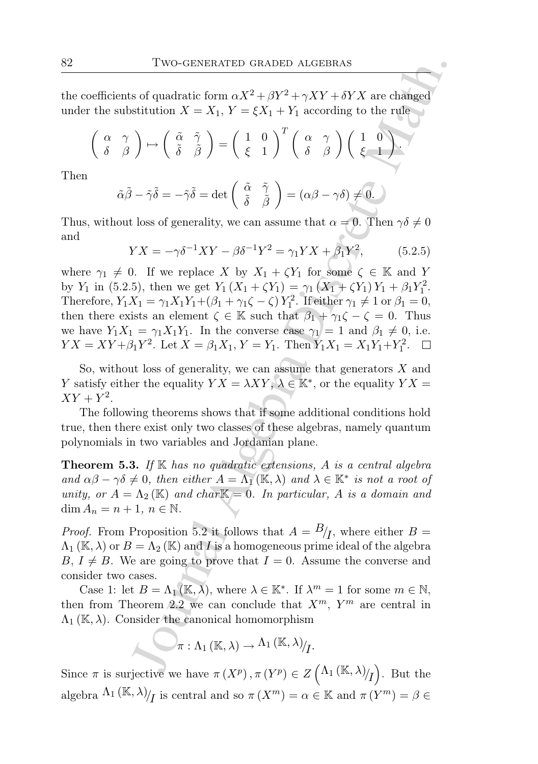the coefficients of quadratic form  $\alpha X^2 + \beta Y^2 + \gamma XY + \delta YX$  are changed under the substitution  $X = X_1, Y = \xi X_1 + Y_1$  according to the rule

$$
\left(\begin{array}{cc} \alpha & \gamma \\ \delta & \beta \end{array}\right) \mapsto \left(\begin{array}{cc} \tilde{\alpha} & \tilde{\gamma} \\ \tilde{\delta} & \tilde{\beta} \end{array}\right) = \left(\begin{array}{cc} 1 & 0 \\ \xi & 1 \end{array}\right)^T \left(\begin{array}{cc} \alpha & \gamma \\ \delta & \beta \end{array}\right) \left(\begin{array}{cc} 1 & 0 \\ \xi & 1 \end{array}\right).
$$

Then

$$
\tilde{\alpha}\tilde{\beta} - \tilde{\gamma}\tilde{\delta} = -\tilde{\gamma}\tilde{\delta} = \det\left(\begin{array}{cc} \tilde{\alpha} & \tilde{\gamma} \\ \tilde{\delta} & \tilde{\beta} \end{array}\right) = (\alpha\beta - \gamma\delta) \neq 0.
$$

Thus, without loss of generality, we can assume that  $\alpha = 0$ . Then  $\gamma \delta \neq 0$ and

$$
YX = -\gamma \delta^{-1} XY - \beta \delta^{-1} Y^2 = \gamma_1 YX + \beta_1 Y^2,
$$
 (5.2.5)

Two-GENERATED GRADED ALGEBRAS<br>
sof quadratic form  $\alpha X^2 + \beta Y^2 + \gamma XY + \delta YX$  are changed<br>
stitution  $X = X_1, Y = \xi X_1 + Y_1$  according to the rule<br>  $\left(\begin{array}{cc} \tilde{\alpha} & \tilde{\gamma} \\ \tilde{\delta} & \tilde{\beta} \end{array}\right) = \left(\begin{array}{cc} 1 & 0 \\ \xi & 1 \end{array}\right)^T \left(\begin{array}{cc}$ where  $\gamma_1 \neq 0$ . If we replace X by  $X_1 + \zeta Y_1$  for some  $\zeta \in \mathbb{K}$  and Y by Y<sub>1</sub> in (5.2.5), then we get  $Y_1(X_1 + \zeta Y_1) = \gamma_1(X_1 + \zeta Y_1) Y_1 + \beta_1 Y_1^2$ . Therefore,  $Y_1X_1 = \gamma_1 X_1 Y_1 + (\beta_1 + \gamma_1 \zeta - \zeta) Y_1^2$ . If either  $\gamma_1 \neq 1$  or  $\beta_1 = 0$ , then there exists an element  $\zeta \in \mathbb{K}$  such that  $\beta_1 + \gamma_1 \zeta - \zeta = 0$ . Thus we have  $Y_1X_1 = \gamma_1X_1Y_1$ . In the converse case  $\gamma_1 = 1$  and  $\beta_1 \neq 0$ , i.e.  $YX = XY + \beta_1 Y^2$ . Let  $X = \beta_1 X_1, Y = Y_1$ . Then  $Y_1 X_1 = X_1 Y_1 + Y_1^2$ .

So, without loss of generality, we can assume that generators  $X$  and Y satisfy either the equality  $YX = \lambda XY, \lambda \in \mathbb{K}^*$ , or the equality  $YX = \lambda XY$  $XY+Y^2$ .

The following theorems shows that if some additional conditions hold true, then there exist only two classes of these algebras, namely quantum polynomials in two variables and Jordanian plane.

**Theorem 5.3.** If  $K$  has no quadratic extensions, A is a central algebra and  $\alpha\beta - \gamma\delta \neq 0$ , then either  $A = \Lambda_1(\mathbb{K}, \lambda)$  and  $\lambda \in \mathbb{K}^*$  is not a root of unity, or  $A = \Lambda_2(\mathbb{K})$  and char $\mathbb{K} = 0$ . In particular, A is a domain and  $\dim A_n = n + 1, n \in \mathbb{N}.$ 

*Proof.* From Proposition 5.2 it follows that  $A = B/I$ , where either  $B =$  $\Lambda_1(\mathbb{K},\lambda)$  or  $B=\Lambda_2(\mathbb{K})$  and I is a homogeneous prime ideal of the algebra  $B, I \neq B$ . We are going to prove that  $I = 0$ . Assume the converse and consider two cases.

Case 1: let  $B = \Lambda_1(\mathbb{K}, \lambda)$ , where  $\lambda \in \mathbb{K}^*$ . If  $\lambda^m = 1$  for some  $m \in \mathbb{N}$ , then from Theorem 2.2 we can conclude that  $X^m$ ,  $Y^m$  are central in  $\Lambda_1(\mathbb{K},\lambda)$ . Consider the canonical homomorphism

$$
\mathscr{M}:\Lambda_1(\mathbb{K},\lambda)\rightarrow\Lambda_1(\mathbb{K},\lambda)_{\mathcal{U}}.
$$

Since  $\pi$  is surjective we have  $\pi(X^p), \pi(Y^p) \in Z\left(\Lambda_1(\mathbb{K}, \lambda)/_I\right)$ . But the algebra  $\Lambda_1 (\mathbb{K}, \lambda) / I$  is central and so  $\pi(X^m) = \alpha \in \mathbb{K}$  and  $\pi(Y^m) = \beta \in$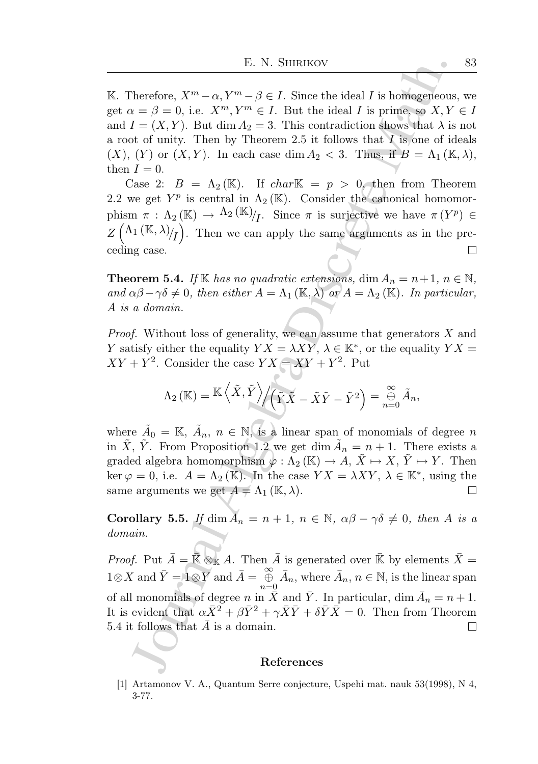E. N. SHIRIKOV<br>
Therefore,  $X^m - \alpha, Y^m - \beta \in I$ . Since the ideal  $I$  is homogeneous<br>  $x = \beta = 0$ , i.e.  $X^m, Y^m \in I$ . But the ideal  $I$  is prime, so  $X, Y$ <br>  $I = (X, Y)$ . But dim  $A_2 = 3$ . This contradiction shows that  $\lambda$  is<br>
of K. Therefore,  $X^m - \alpha$ ,  $Y^m - \beta \in I$ . Since the ideal I is homogeneous, we get  $\alpha = \beta = 0$ , i.e.  $X^m, Y^m \in I$ . But the ideal I is prime, so  $X, Y \in I$ and  $I = (X, Y)$ . But dim  $A_2 = 3$ . This contradiction shows that  $\lambda$  is not a root of unity. Then by Theorem 2.5 it follows that I is one of ideals  $(X), (Y)$  or  $(X, Y)$ . In each case dim  $A_2 < 3$ . Thus, if  $B = \Lambda_1(\mathbb{K}, \lambda)$ , then  $I = 0$ .

Case 2:  $B = \Lambda_2(\mathbb{K})$ . If  $char \mathbb{K} = p > 0$ , then from Theorem 2.2 we get  $Y^p$  is central in  $\Lambda_2(\mathbb{K})$ . Consider the canonical homomorphism  $\pi : \Lambda_2(\mathbb{K}) \to \Lambda_2(\mathbb{K})/I$ . Since  $\pi$  is surjective we have  $\pi(Y^p) \in$  $Z\left(\Lambda_1 (\mathbb{K}, \lambda)/_I\right)$ . Then we can apply the same arguments as in the preceding case.  $\Box$ 

**Theorem 5.4.** If K has no quadratic extensions, dim  $A_n = n+1$ ,  $n \in \mathbb{N}$ , and  $\alpha\beta-\gamma\delta\neq 0$ , then either  $A=\Lambda_1(\mathbb{K},\lambda)$  or  $A=\Lambda_2(\mathbb{K})$ . In particular, A is a domain.

Proof. Without loss of generality, we can assume that generators X and Y satisfy either the equality  $YX = \lambda XY, \lambda \in \mathbb{K}^*$ , or the equality  $YX = \lambda XY$  $XY + Y^2$ . Consider the case  $YX = XY + Y^2$ . Put

$$
\Lambda_2\left(\mathbb{K}\right)=\mathbb{K}\left\langle\tilde{X},\tilde{Y}\right\rangle\!\Big/\!\!\left(\tilde{Y}\tilde{X}-\tilde{X}\tilde{Y}-\tilde{Y}^2\right)=\mathop{\oplus}_{n=0}^\infty\tilde{A}_n,
$$

where  $\tilde{A}_0 = \mathbb{K}, \tilde{A}_n, n \in \mathbb{N}$ , is a linear span of monomials of degree n in  $\tilde{X}$ ,  $\tilde{Y}$ . From Proposition 1.2 we get dim  $\tilde{A}_n = n + 1$ . There exists a graded algebra homomorphism  $\varphi : \Lambda_2(\mathbb{K}) \to A, X \mapsto X, Y \mapsto Y$ . Then ker  $\varphi = 0$ , i.e.  $A = \Lambda_2(\mathbb{K})$ . In the case  $YX = \lambda XY, \lambda \in \mathbb{K}^*$ , using the same arguments we get  $A = \Lambda_1 (\mathbb{K}, \lambda)$ .  $\Box$ 

Corollary 5.5. If  $\dim A_n = n + 1$ ,  $n \in \mathbb{N}$ ,  $\alpha\beta - \gamma\delta \neq 0$ , then A is a domain.

*Proof.* Put  $\bar{A} = \bar{\mathbb{K}} \otimes_{\mathbb{K}} A$ . Then  $\bar{A}$  is generated over  $\bar{\mathbb{K}}$  by elements  $\bar{X} =$  $1\otimes X$  and  $\overline{Y} = 1\otimes Y$  and  $\overline{A} = \bigoplus_{n=0}^{\infty} \overline{A}_n$ , where  $\overline{A}_n$ ,  $n \in \mathbb{N}$ , is the linear span of all monomials of degree n in  $\tilde{X}$  and  $\bar{Y}$ . In particular, dim  $\bar{A}_n = n + 1$ . It is evident that  $\alpha \bar{X}^2 + \beta \bar{Y}^2 + \gamma \bar{X}\bar{Y} + \delta \bar{Y}\bar{X} = 0$ . Then from Theorem 5.4 it follows that  $A$  is a domain.  $\Box$ 

#### References

[1] Artamonov V. A., Quantum Serre conjecture, Uspehi mat. nauk 53(1998), N 4, 3-77.